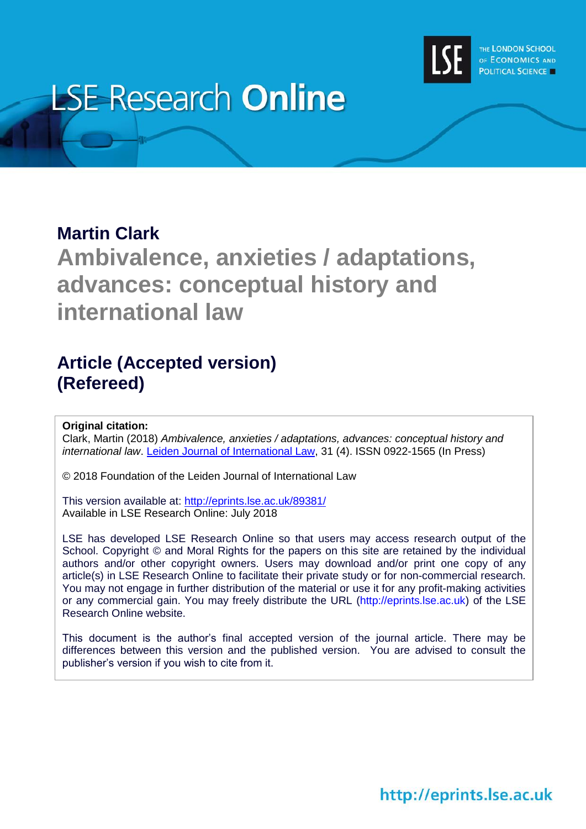

# **LSE Research Online**

# **Martin Clark**

**Ambivalence, anxieties / adaptations, advances: conceptual history and international law**

# **Article (Accepted version) (Refereed)**

# **Original citation:**

Clark, Martin (2018) *Ambivalence, anxieties / adaptations, advances: conceptual history and international law*. [Leiden Journal of International Law,](https://www.cambridge.org/core/journals/leiden-journal-of-international-law) 31 (4). ISSN 0922-1565 (In Press)

© 2018 Foundation of the Leiden Journal of International Law

This version available at:<http://eprints.lse.ac.uk/89381/> Available in LSE Research Online: July 2018

LSE has developed LSE Research Online so that users may access research output of the School. Copyright © and Moral Rights for the papers on this site are retained by the individual authors and/or other copyright owners. Users may download and/or print one copy of any article(s) in LSE Research Online to facilitate their private study or for non-commercial research. You may not engage in further distribution of the material or use it for any profit-making activities or any commercial gain. You may freely distribute the URL (http://eprints.lse.ac.uk) of the LSE Research Online website.

This document is the author's final accepted version of the journal article. There may be differences between this version and the published version. You are advised to consult the publisher's version if you wish to cite from it.

http://eprints.lse.ac.uk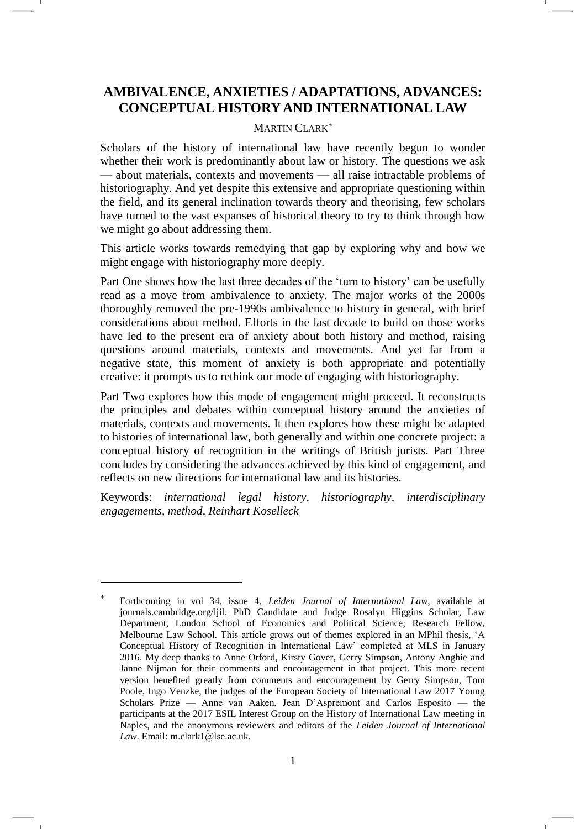# **AMBIVALENCE, ANXIETIES / ADAPTATIONS, ADVANCES: CONCEPTUAL HISTORY AND INTERNATIONAL LAW**

# MARTIN CLARK\*

Scholars of the history of international law have recently begun to wonder whether their work is predominantly about law or history. The questions we ask — about materials, contexts and movements — all raise intractable problems of historiography. And yet despite this extensive and appropriate questioning within the field, and its general inclination towards theory and theorising, few scholars have turned to the vast expanses of historical theory to try to think through how we might go about addressing them.

This article works towards remedying that gap by exploring why and how we might engage with historiography more deeply.

Part One shows how the last three decades of the 'turn to history' can be usefully read as a move from ambivalence to anxiety. The major works of the 2000s thoroughly removed the pre-1990s ambivalence to history in general, with brief considerations about method. Efforts in the last decade to build on those works have led to the present era of anxiety about both history and method, raising questions around materials, contexts and movements. And yet far from a negative state, this moment of anxiety is both appropriate and potentially creative: it prompts us to rethink our mode of engaging with historiography.

Part Two explores how this mode of engagement might proceed. It reconstructs the principles and debates within conceptual history around the anxieties of materials, contexts and movements. It then explores how these might be adapted to histories of international law, both generally and within one concrete project: a conceptual history of recognition in the writings of British jurists. Part Three concludes by considering the advances achieved by this kind of engagement, and reflects on new directions for international law and its histories.

Keywords: *international legal history, historiography, interdisciplinary engagements, method, Reinhart Koselleck*

<sup>\*</sup> Forthcoming in vol 34, issue 4, *Leiden Journal of International Law*, available at journals.cambridge.org/ljil. PhD Candidate and Judge Rosalyn Higgins Scholar, Law Department, London School of Economics and Political Science; Research Fellow, Melbourne Law School. This article grows out of themes explored in an MPhil thesis, 'A Conceptual History of Recognition in International Law' completed at MLS in January 2016. My deep thanks to Anne Orford, Kirsty Gover, Gerry Simpson, Antony Anghie and Janne Nijman for their comments and encouragement in that project. This more recent version benefited greatly from comments and encouragement by Gerry Simpson, Tom Poole, Ingo Venzke, the judges of the European Society of International Law 2017 Young Scholars Prize — Anne van Aaken, Jean D'Aspremont and Carlos Esposito — the participants at the 2017 ESIL Interest Group on the History of International Law meeting in Naples, and the anonymous reviewers and editors of the *Leiden Journal of International Law*. Email: m.clark1@lse.ac.uk.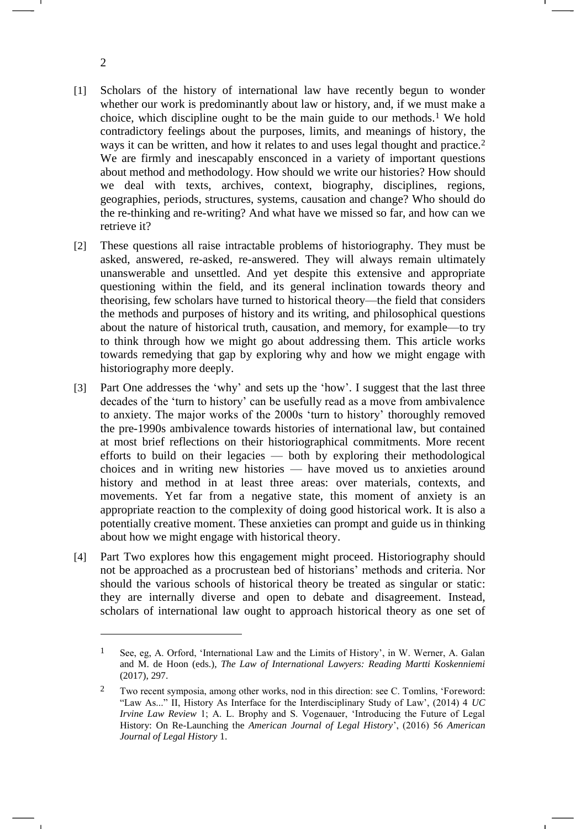- [1] Scholars of the history of international law have recently begun to wonder whether our work is predominantly about law or history, and, if we must make a choice, which discipline ought to be the main guide to our methods.<sup>1</sup> We hold contradictory feelings about the purposes, limits, and meanings of history, the ways it can be written, and how it relates to and uses legal thought and practice.<sup>2</sup> We are firmly and inescapably ensconced in a variety of important questions about method and methodology. How should we write our histories? How should we deal with texts, archives, context, biography, disciplines, regions, geographies, periods, structures, systems, causation and change? Who should do the re-thinking and re-writing? And what have we missed so far, and how can we retrieve it?
- [2] These questions all raise intractable problems of historiography. They must be asked, answered, re-asked, re-answered. They will always remain ultimately unanswerable and unsettled. And yet despite this extensive and appropriate questioning within the field, and its general inclination towards theory and theorising, few scholars have turned to historical theory—the field that considers the methods and purposes of history and its writing, and philosophical questions about the nature of historical truth, causation, and memory, for example—to try to think through how we might go about addressing them. This article works towards remedying that gap by exploring why and how we might engage with historiography more deeply.
- [3] Part One addresses the 'why' and sets up the 'how'. I suggest that the last three decades of the 'turn to history' can be usefully read as a move from ambivalence to anxiety. The major works of the 2000s 'turn to history' thoroughly removed the pre-1990s ambivalence towards histories of international law, but contained at most brief reflections on their historiographical commitments. More recent efforts to build on their legacies — both by exploring their methodological choices and in writing new histories — have moved us to anxieties around history and method in at least three areas: over materials, contexts, and movements. Yet far from a negative state, this moment of anxiety is an appropriate reaction to the complexity of doing good historical work. It is also a potentially creative moment. These anxieties can prompt and guide us in thinking about how we might engage with historical theory.
- [4] Part Two explores how this engagement might proceed. Historiography should not be approached as a procrustean bed of historians' methods and criteria. Nor should the various schools of historical theory be treated as singular or static: they are internally diverse and open to debate and disagreement. Instead, scholars of international law ought to approach historical theory as one set of

2

<sup>1</sup> See, eg, A. Orford, 'International Law and the Limits of History', in W. Werner, A. Galan and M. de Hoon (eds.), *The Law of International Lawyers: Reading Martti Koskenniemi* (2017), 297.

<sup>2</sup> Two recent symposia, among other works, nod in this direction: see C. Tomlins, 'Foreword: "Law As..." II, History As Interface for the Interdisciplinary Study of Law', (2014) 4 *UC Irvine Law Review* 1; A. L. Brophy and S. Vogenauer, 'Introducing the Future of Legal History: On Re-Launching the *American Journal of Legal History*', (2016) 56 *American Journal of Legal History* 1.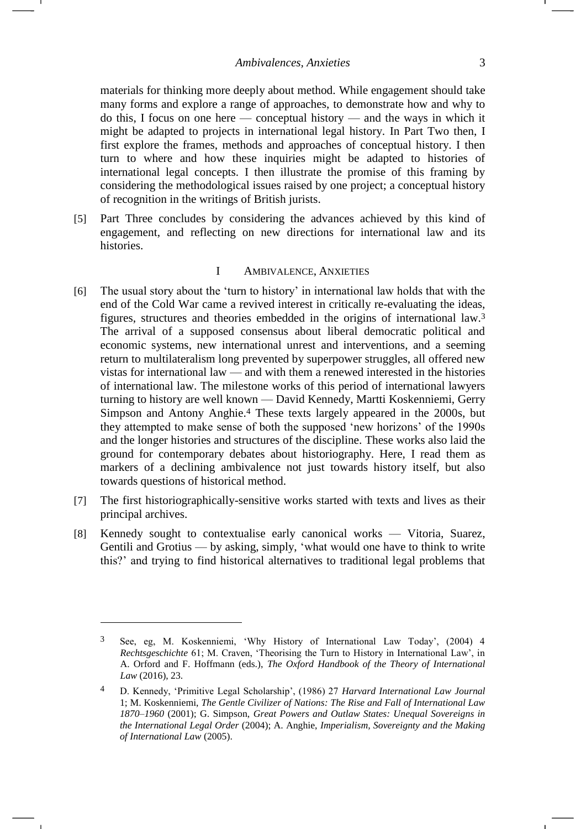materials for thinking more deeply about method. While engagement should take many forms and explore a range of approaches, to demonstrate how and why to do this, I focus on one here — conceptual history — and the ways in which it might be adapted to projects in international legal history. In Part Two then, I first explore the frames, methods and approaches of conceptual history. I then turn to where and how these inquiries might be adapted to histories of international legal concepts. I then illustrate the promise of this framing by considering the methodological issues raised by one project; a conceptual history of recognition in the writings of British jurists.

[5] Part Three concludes by considering the advances achieved by this kind of engagement, and reflecting on new directions for international law and its histories.

#### I AMBIVALENCE, ANXIETIES

- [6] The usual story about the 'turn to history' in international law holds that with the end of the Cold War came a revived interest in critically re-evaluating the ideas, figures, structures and theories embedded in the origins of international law.<sup>3</sup> The arrival of a supposed consensus about liberal democratic political and economic systems, new international unrest and interventions, and a seeming return to multilateralism long prevented by superpower struggles, all offered new vistas for international law — and with them a renewed interested in the histories of international law. The milestone works of this period of international lawyers turning to history are well known — David Kennedy, Martti Koskenniemi, Gerry Simpson and Antony Anghie.<sup>4</sup> These texts largely appeared in the 2000s, but they attempted to make sense of both the supposed 'new horizons' of the 1990s and the longer histories and structures of the discipline. These works also laid the ground for contemporary debates about historiography. Here, I read them as markers of a declining ambivalence not just towards history itself, but also towards questions of historical method.
- [7] The first historiographically-sensitive works started with texts and lives as their principal archives.
- [8] Kennedy sought to contextualise early canonical works Vitoria, Suarez, Gentili and Grotius — by asking, simply, 'what would one have to think to write this?' and trying to find historical alternatives to traditional legal problems that

<sup>3</sup> See, eg, M. Koskenniemi, 'Why History of International Law Today', (2004) 4 *Rechtsgeschichte* 61; M. Craven, 'Theorising the Turn to History in International Law', in A. Orford and F. Hoffmann (eds.), *The Oxford Handbook of the Theory of International Law* (2016), 23.

<sup>4</sup> D. Kennedy, 'Primitive Legal Scholarship', (1986) 27 *Harvard International Law Journal* 1; M. Koskenniemi, *The Gentle Civilizer of Nations: The Rise and Fall of International Law 1870–1960* (2001); G. Simpson, *Great Powers and Outlaw States: Unequal Sovereigns in the International Legal Order* (2004); A. Anghie, *Imperialism, Sovereignty and the Making of International Law* (2005).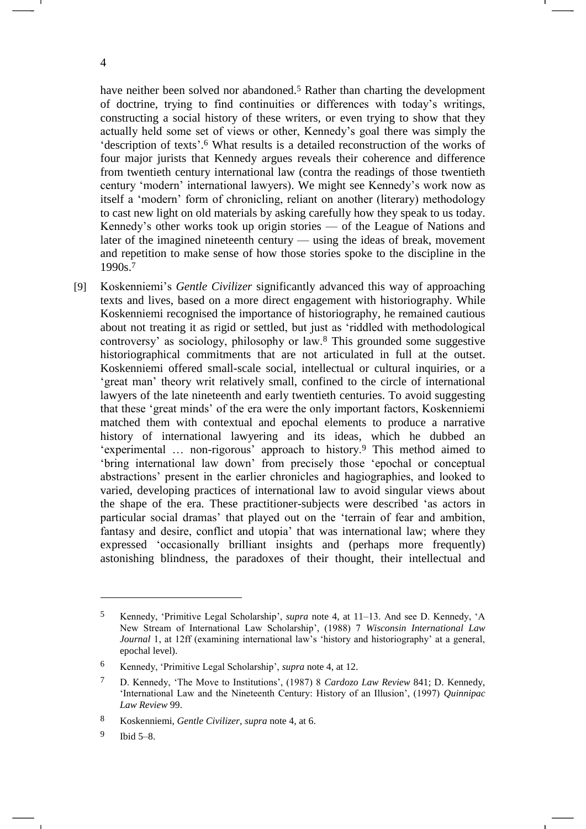have neither been solved nor abandoned.<sup>5</sup> Rather than charting the development of doctrine, trying to find continuities or differences with today's writings, constructing a social history of these writers, or even trying to show that they actually held some set of views or other, Kennedy's goal there was simply the 'description of texts'. <sup>6</sup> What results is a detailed reconstruction of the works of four major jurists that Kennedy argues reveals their coherence and difference from twentieth century international law (contra the readings of those twentieth century 'modern' international lawyers). We might see Kennedy's work now as itself a 'modern' form of chronicling, reliant on another (literary) methodology to cast new light on old materials by asking carefully how they speak to us today. Kennedy's other works took up origin stories — of the League of Nations and later of the imagined nineteenth century — using the ideas of break, movement and repetition to make sense of how those stories spoke to the discipline in the 1990s. 7

[9] Koskenniemi's *Gentle Civilizer* significantly advanced this way of approaching texts and lives, based on a more direct engagement with historiography. While Koskenniemi recognised the importance of historiography, he remained cautious about not treating it as rigid or settled, but just as 'riddled with methodological controversy' as sociology, philosophy or law.<sup>8</sup> This grounded some suggestive historiographical commitments that are not articulated in full at the outset. Koskenniemi offered small-scale social, intellectual or cultural inquiries, or a 'great man' theory writ relatively small, confined to the circle of international lawyers of the late nineteenth and early twentieth centuries. To avoid suggesting that these 'great minds' of the era were the only important factors, Koskenniemi matched them with contextual and epochal elements to produce a narrative history of international lawyering and its ideas, which he dubbed an 'experimental … non-rigorous' approach to history.<sup>9</sup> This method aimed to 'bring international law down' from precisely those 'epochal or conceptual abstractions' present in the earlier chronicles and hagiographies, and looked to varied, developing practices of international law to avoid singular views about the shape of the era. These practitioner-subjects were described 'as actors in particular social dramas' that played out on the 'terrain of fear and ambition, fantasy and desire, conflict and utopia' that was international law; where they expressed 'occasionally brilliant insights and (perhaps more frequently) astonishing blindness, the paradoxes of their thought, their intellectual and

<sup>5</sup> Kennedy, 'Primitive Legal Scholarship', *supra* note 4, at 11–13. And see D. Kennedy, 'A New Stream of International Law Scholarship', (1988) 7 *Wisconsin International Law Journal* 1, at 12ff (examining international law's 'history and historiography' at a general, epochal level).

<sup>6</sup> Kennedy, 'Primitive Legal Scholarship', *supra* note 4, at 12.

<sup>7</sup> D. Kennedy, 'The Move to Institutions', (1987) 8 *Cardozo Law Review* 841; D. Kennedy, 'International Law and the Nineteenth Century: History of an Illusion', (1997) *Quinnipac Law Review* 99.

<sup>8</sup> Koskenniemi, *Gentle Civilizer*, *supra* note 4, at 6.

<sup>9</sup> Ibid 5–8.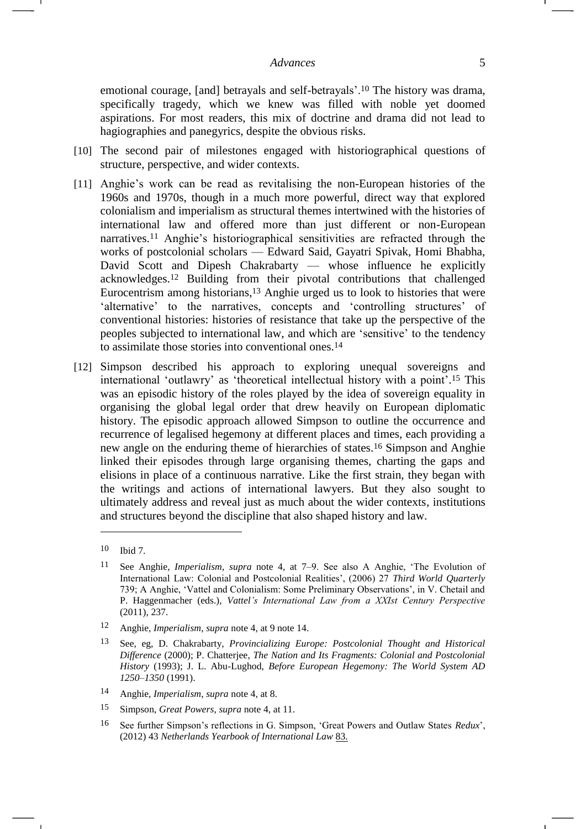emotional courage, [and] betrayals and self-betrayals'.<sup>10</sup> The history was drama, specifically tragedy, which we knew was filled with noble yet doomed aspirations. For most readers, this mix of doctrine and drama did not lead to hagiographies and panegyrics, despite the obvious risks.

- [10] The second pair of milestones engaged with historiographical questions of structure, perspective, and wider contexts.
- [11] Anghie's work can be read as revitalising the non-European histories of the 1960s and 1970s, though in a much more powerful, direct way that explored colonialism and imperialism as structural themes intertwined with the histories of international law and offered more than just different or non-European narratives.<sup>11</sup> Anghie's historiographical sensitivities are refracted through the works of postcolonial scholars — Edward Said, Gayatri Spivak, Homi Bhabha, David Scott and Dipesh Chakrabarty — whose influence he explicitly acknowledges.<sup>12</sup> Building from their pivotal contributions that challenged Eurocentrism among historians, <sup>13</sup> Anghie urged us to look to histories that were 'alternative' to the narratives, concepts and 'controlling structures' of conventional histories: histories of resistance that take up the perspective of the peoples subjected to international law, and which are 'sensitive' to the tendency to assimilate those stories into conventional ones.<sup>14</sup>
- [12] Simpson described his approach to exploring unequal sovereigns and international 'outlawry' as 'theoretical intellectual history with a point'. <sup>15</sup> This was an episodic history of the roles played by the idea of sovereign equality in organising the global legal order that drew heavily on European diplomatic history. The episodic approach allowed Simpson to outline the occurrence and recurrence of legalised hegemony at different places and times, each providing a new angle on the enduring theme of hierarchies of states.<sup>16</sup> Simpson and Anghie linked their episodes through large organising themes, charting the gaps and elisions in place of a continuous narrative. Like the first strain, they began with the writings and actions of international lawyers. But they also sought to ultimately address and reveal just as much about the wider contexts, institutions and structures beyond the discipline that also shaped history and law.

- 14 Anghie, *Imperialism*, *supra* note 4, at 8.
- 15 Simpson, *Great Powers*, *supra* note 4, at 11.
- 16 See further Simpson's reflections in G. Simpson, 'Great Powers and Outlaw States *Redux*', (2012) 43 *Netherlands Yearbook of International Law* 83.

<sup>10</sup> Ibid 7.

<sup>11</sup> See Anghie, *Imperialism*, *supra* note 4, at 7–9. See also A Anghie, 'The Evolution of International Law: Colonial and Postcolonial Realities', (2006) 27 *Third World Quarterly* 739; A Anghie, 'Vattel and Colonialism: Some Preliminary Observations', in V. Chetail and P. Haggenmacher (eds.), *Vattel's International Law from a XXIst Century Perspective* (2011), 237.

<sup>12</sup> Anghie, *Imperialism*, *supra* note 4, at 9 note 14.

<sup>13</sup> See, eg, D. Chakrabarty, *Provincializing Europe: Postcolonial Thought and Historical Difference* (2000); P. Chatterjee, *The Nation and Its Fragments: Colonial and Postcolonial History* (1993); J. L. Abu-Lughod, *Before European Hegemony: The World System AD 1250–1350* (1991).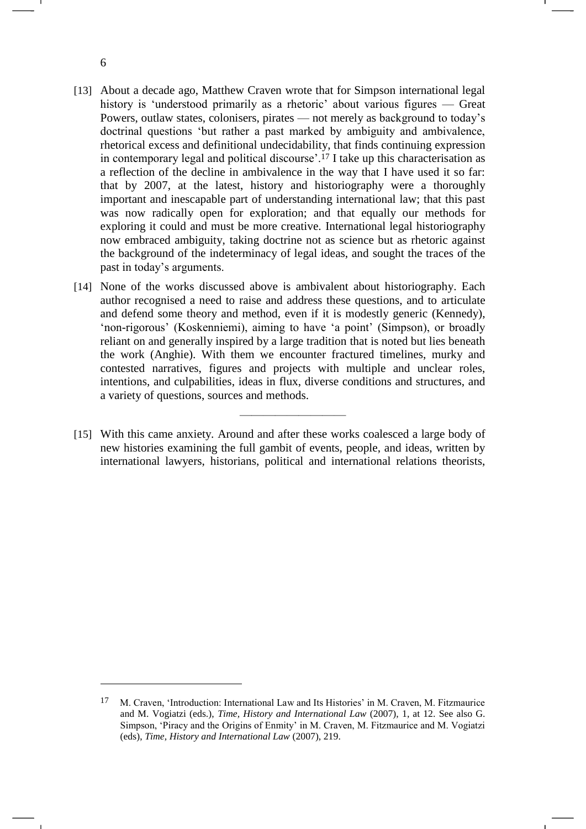- [13] About a decade ago, Matthew Craven wrote that for Simpson international legal history is 'understood primarily as a rhetoric' about various figures — Great Powers, outlaw states, colonisers, pirates — not merely as background to today's doctrinal questions 'but rather a past marked by ambiguity and ambivalence, rhetorical excess and definitional undecidability, that finds continuing expression in contemporary legal and political discourse'. <sup>17</sup> I take up this characterisation as a reflection of the decline in ambivalence in the way that I have used it so far: that by 2007, at the latest, history and historiography were a thoroughly important and inescapable part of understanding international law; that this past was now radically open for exploration; and that equally our methods for exploring it could and must be more creative. International legal historiography now embraced ambiguity, taking doctrine not as science but as rhetoric against the background of the indeterminacy of legal ideas, and sought the traces of the past in today's arguments.
- [14] None of the works discussed above is ambivalent about historiography. Each author recognised a need to raise and address these questions, and to articulate and defend some theory and method, even if it is modestly generic (Kennedy), 'non-rigorous' (Koskenniemi), aiming to have 'a point' (Simpson), or broadly reliant on and generally inspired by a large tradition that is noted but lies beneath the work (Anghie). With them we encounter fractured timelines, murky and contested narratives, figures and projects with multiple and unclear roles, intentions, and culpabilities, ideas in flux, diverse conditions and structures, and a variety of questions, sources and methods.
- [15] With this came anxiety. Around and after these works coalesced a large body of new histories examining the full gambit of events, people, and ideas, written by international lawyers, historians, political and international relations theorists,

—————————

6

1

<sup>17</sup> M. Craven, 'Introduction: International Law and Its Histories' in M. Craven, M. Fitzmaurice and M. Vogiatzi (eds.), *Time, History and International Law* (2007), 1, at 12. See also G. Simpson, 'Piracy and the Origins of Enmity' in M. Craven, M. Fitzmaurice and M. Vogiatzi (eds), *Time, History and International Law* (2007), 219.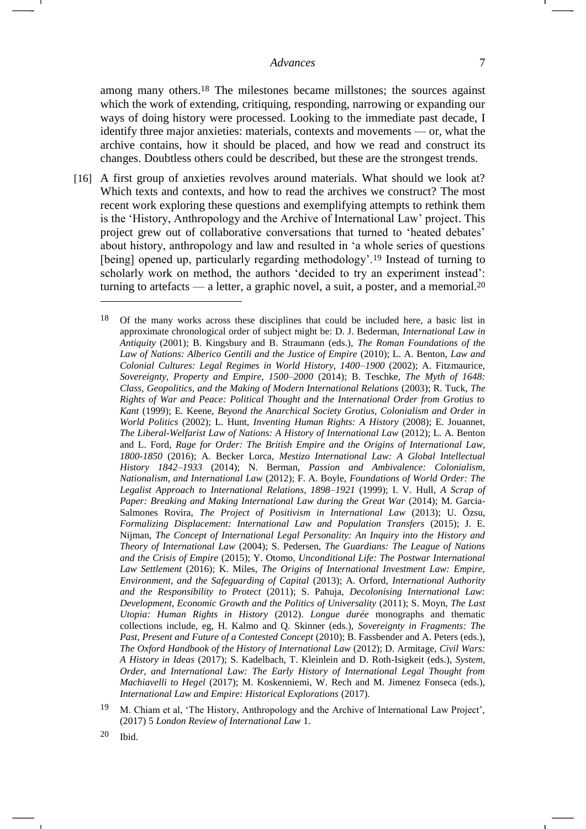among many others.<sup>18</sup> The milestones became millstones; the sources against which the work of extending, critiquing, responding, narrowing or expanding our ways of doing history were processed. Looking to the immediate past decade, I identify three major anxieties: materials, contexts and movements — or, what the archive contains, how it should be placed, and how we read and construct its changes. Doubtless others could be described, but these are the strongest trends.

[16] A first group of anxieties revolves around materials. What should we look at? Which texts and contexts, and how to read the archives we construct? The most recent work exploring these questions and exemplifying attempts to rethink them is the 'History, Anthropology and the Archive of International Law' project. This project grew out of collaborative conversations that turned to 'heated debates' about history, anthropology and law and resulted in 'a whole series of questions [being] opened up, particularly regarding methodology'.<sup>19</sup> Instead of turning to scholarly work on method, the authors 'decided to try an experiment instead': turning to artefacts — a letter, a graphic novel, a suit, a poster, and a memorial.<sup>20</sup>

-

<sup>18</sup> Of the many works across these disciplines that could be included here, a basic list in approximate chronological order of subject might be: D. J. Bederman, *International Law in Antiquity* (2001); B. Kingsbury and B. Straumann (eds.), *The Roman Foundations of the Law of Nations: Alberico Gentili and the Justice of Empire* (2010); L. A. Benton, *Law and Colonial Cultures: Legal Regimes in World History, 1400–1900* (2002); A. Fitzmaurice, *Sovereignty, Property and Empire, 1500–2000* (2014); B. Teschke, *The Myth of 1648: Class, Geopolitics, and the Making of Modern International Relations* (2003); R. Tuck, *The Rights of War and Peace: Political Thought and the International Order from Grotius to Kant* (1999); E. Keene, *Beyond the Anarchical Society Grotius, Colonialism and Order in World Politics* (2002); L. Hunt, *Inventing Human Rights: A History* (2008); E. Jouannet, *The Liberal-Welfarist Law of Nations: A History of International Law* (2012); L. A. Benton and L. Ford, *Rage for Order: The British Empire and the Origins of International Law, 1800-1850* (2016); A. Becker Lorca, *Mestizo International Law: A Global Intellectual History 1842–1933* (2014); N. Berman, *Passion and Ambivalence: Colonialism, Nationalism, and International Law* (2012); F. A. Boyle, *Foundations of World Order: The Legalist Approach to International Relations, 1898–1921* (1999); I. V. Hull, *A Scrap of Paper: Breaking and Making International Law during the Great War* (2014); M. Garcia-Salmones Rovira, *The Project of Positivism in International Law* (2013); U. Özsu, *Formalizing Displacement: International Law and Population Transfers* (2015); J. E. Nijman, *The Concept of International Legal Personality: An Inquiry into the History and Theory of International Law* (2004); S. Pedersen, *The Guardians: The League of Nations and the Crisis of Empire* (2015); Y. Otomo, *Unconditional Life: The Postwar International Law Settlement* (2016); K. Miles, *The Origins of International Investment Law: Empire, Environment, and the Safeguarding of Capital* (2013); A. Orford, *International Authority and the Responsibility to Protect* (2011); S. Pahuja, *Decolonising International Law: Development, Economic Growth and the Politics of Universality* (2011); S. Moyn, *The Last Utopia: Human Rights in History* (2012). *Longue durée* monographs and thematic collections include, eg, H. Kalmo and Q. Skinner (eds.), *Sovereignty in Fragments: The Past, Present and Future of a Contested Concept* (2010); B. Fassbender and A. Peters (eds.), *The Oxford Handbook of the History of International Law* (2012); D. Armitage, *Civil Wars: A History in Ideas* (2017); S. Kadelbach, T. Kleinlein and D. Roth-Isigkeit (eds.), *System, Order, and International Law: The Early History of International Legal Thought from Machiavelli to Hegel* (2017); M. Koskenniemi, W. Rech and M. Jimenez Fonseca (eds.), *International Law and Empire: Historical Explorations* (2017).

<sup>19</sup> M. Chiam et al, 'The History, Anthropology and the Archive of International Law Project', (2017) 5 *London Review of International Law* 1.

<sup>20</sup> Ibid.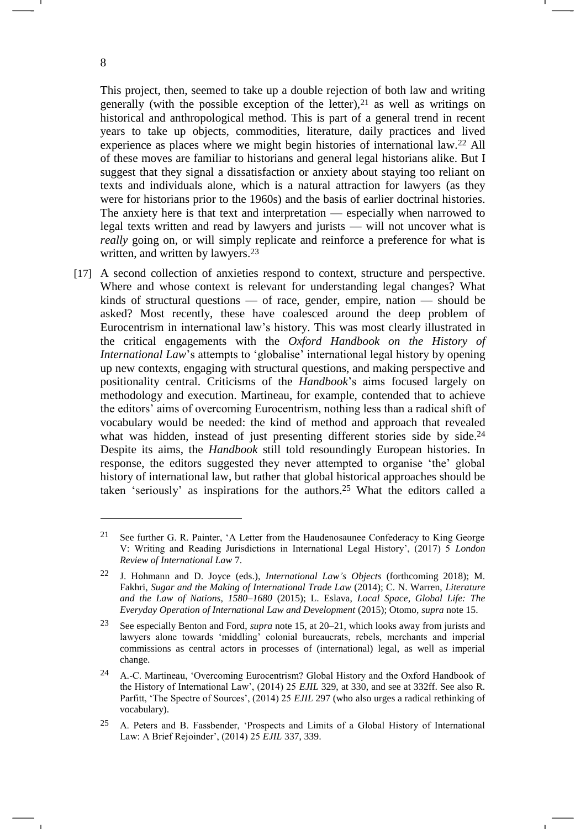This project, then, seemed to take up a double rejection of both law and writing generally (with the possible exception of the letter),  $21$  as well as writings on historical and anthropological method. This is part of a general trend in recent years to take up objects, commodities, literature, daily practices and lived experience as places where we might begin histories of international law.<sup>22</sup> All of these moves are familiar to historians and general legal historians alike. But I suggest that they signal a dissatisfaction or anxiety about staying too reliant on texts and individuals alone, which is a natural attraction for lawyers (as they were for historians prior to the 1960s) and the basis of earlier doctrinal histories. The anxiety here is that text and interpretation — especially when narrowed to legal texts written and read by lawyers and jurists — will not uncover what is *really* going on, or will simply replicate and reinforce a preference for what is written, and written by lawyers.<sup>23</sup>

[17] A second collection of anxieties respond to context, structure and perspective. Where and whose context is relevant for understanding legal changes? What kinds of structural questions — of race, gender, empire, nation — should be asked? Most recently, these have coalesced around the deep problem of Eurocentrism in international law's history. This was most clearly illustrated in the critical engagements with the *Oxford Handbook on the History of International Law*'s attempts to 'globalise' international legal history by opening up new contexts, engaging with structural questions, and making perspective and positionality central. Criticisms of the *Handbook*'s aims focused largely on methodology and execution. Martineau, for example, contended that to achieve the editors' aims of overcoming Eurocentrism, nothing less than a radical shift of vocabulary would be needed: the kind of method and approach that revealed what was hidden, instead of just presenting different stories side by side.<sup>24</sup> Despite its aims, the *Handbook* still told resoundingly European histories. In response, the editors suggested they never attempted to organise 'the' global history of international law, but rather that global historical approaches should be taken 'seriously' as inspirations for the authors. <sup>25</sup> What the editors called a

8

<sup>21</sup> See further G. R. Painter, 'A Letter from the Haudenosaunee Confederacy to King George V: Writing and Reading Jurisdictions in International Legal History', (2017) 5 *London Review of International Law* 7.

<sup>22</sup> J. Hohmann and D. Joyce (eds.), *International Law's Objects* (forthcoming 2018); M. Fakhri, *Sugar and the Making of International Trade Law* (2014); C. N. Warren, *Literature and the Law of Nations, 1580–1680* (2015); L. Eslava, *Local Space, Global Life: The Everyday Operation of International Law and Development* (2015); Otomo, *supra* note 15.

<sup>23</sup> See especially Benton and Ford, *supra* note 15, at 20–21, which looks away from jurists and lawyers alone towards 'middling' colonial bureaucrats, rebels, merchants and imperial commissions as central actors in processes of (international) legal, as well as imperial change.

<sup>24</sup> A.-C. Martineau, 'Overcoming Eurocentrism? Global History and the Oxford Handbook of the History of International Law', (2014) 25 *EJIL* 329, at 330, and see at 332ff. See also R. Parfitt, 'The Spectre of Sources', (2014) 25 *EJIL* 297 (who also urges a radical rethinking of vocabulary).

<sup>25</sup> A. Peters and B. Fassbender, 'Prospects and Limits of a Global History of International Law: A Brief Rejoinder', (2014) 25 *EJIL* 337, 339.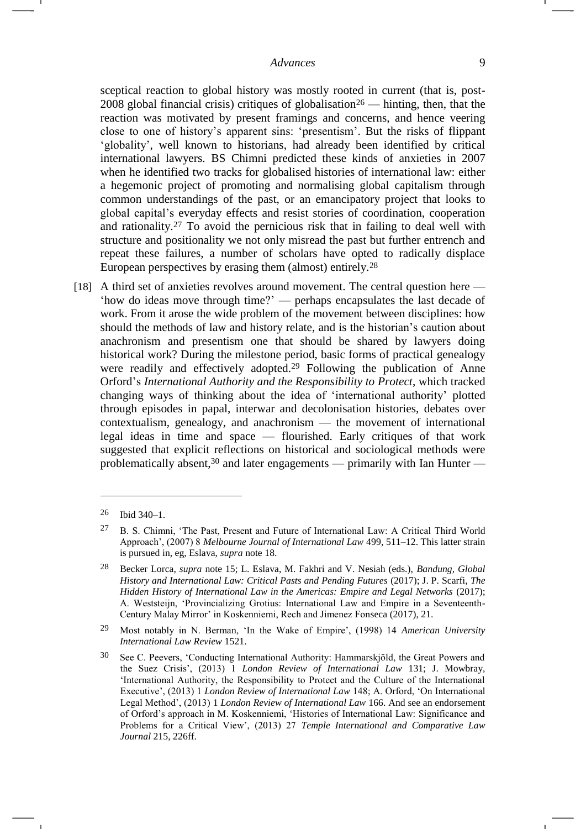sceptical reaction to global history was mostly rooted in current (that is, post-2008 global financial crisis) critiques of globalisation<sup>26</sup> — hinting, then, that the reaction was motivated by present framings and concerns, and hence veering close to one of history's apparent sins: 'presentism'. But the risks of flippant 'globality', well known to historians, had already been identified by critical international lawyers. BS Chimni predicted these kinds of anxieties in 2007 when he identified two tracks for globalised histories of international law: either a hegemonic project of promoting and normalising global capitalism through common understandings of the past, or an emancipatory project that looks to global capital's everyday effects and resist stories of coordination, cooperation and rationality.<sup>27</sup> To avoid the pernicious risk that in failing to deal well with structure and positionality we not only misread the past but further entrench and repeat these failures, a number of scholars have opted to radically displace European perspectives by erasing them (almost) entirely.<sup>28</sup>

[18] A third set of anxieties revolves around movement. The central question here — 'how do ideas move through time?' — perhaps encapsulates the last decade of work. From it arose the wide problem of the movement between disciplines: how should the methods of law and history relate, and is the historian's caution about anachronism and presentism one that should be shared by lawyers doing historical work? During the milestone period, basic forms of practical genealogy were readily and effectively adopted.<sup>29</sup> Following the publication of Anne Orford's *International Authority and the Responsibility to Protect*, which tracked changing ways of thinking about the idea of 'international authority' plotted through episodes in papal, interwar and decolonisation histories, debates over contextualism, genealogy, and anachronism — the movement of international legal ideas in time and space — flourished. Early critiques of that work suggested that explicit reflections on historical and sociological methods were problematically absent,<sup>30</sup> and later engagements — primarily with Ian Hunter —

<sup>26</sup> Ibid 340–1.

<sup>27</sup> B. S. Chimni, 'The Past, Present and Future of International Law: A Critical Third World Approach', (2007) 8 *Melbourne Journal of International Law* 499, 511–12. This latter strain is pursued in, eg, Eslava, *supra* note 18.

<sup>28</sup> Becker Lorca, *supra* note 15; L. Eslava, M. Fakhri and V. Nesiah (eds.), *Bandung, Global History and International Law: Critical Pasts and Pending Futures* (2017); J. P. Scarfi, *The Hidden History of International Law in the Americas: Empire and Legal Networks* (2017); A. Weststeijn, 'Provincializing Grotius: International Law and Empire in a Seventeenth-Century Malay Mirror' in Koskenniemi, Rech and Jimenez Fonseca (2017), 21.

<sup>29</sup> Most notably in N. Berman, 'In the Wake of Empire', (1998) 14 *American University International Law Review* 1521.

<sup>30</sup> See C. Peevers, 'Conducting International Authority: Hammarskjöld, the Great Powers and the Suez Crisis', (2013) 1 *London Review of International Law* 131; J. Mowbray, 'International Authority, the Responsibility to Protect and the Culture of the International Executive', (2013) 1 *London Review of International Law* 148; A. Orford, 'On International Legal Method', (2013) 1 *London Review of International Law* 166. And see an endorsement of Orford's approach in M. Koskenniemi, 'Histories of International Law: Significance and Problems for a Critical View', (2013) 27 *Temple International and Comparative Law Journal* 215, 226ff.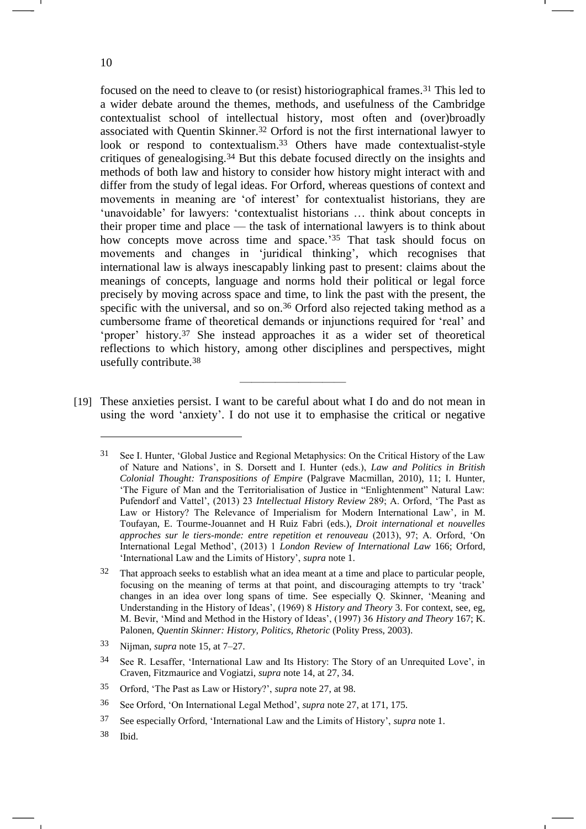focused on the need to cleave to (or resist) historiographical frames. <sup>31</sup> This led to a wider debate around the themes, methods, and usefulness of the Cambridge contextualist school of intellectual history, most often and (over)broadly associated with Quentin Skinner.<sup>32</sup> Orford is not the first international lawyer to look or respond to contextualism.<sup>33</sup> Others have made contextualist-style critiques of genealogising.<sup>34</sup> But this debate focused directly on the insights and methods of both law and history to consider how history might interact with and differ from the study of legal ideas. For Orford, whereas questions of context and movements in meaning are 'of interest' for contextualist historians, they are 'unavoidable' for lawyers: 'contextualist historians … think about concepts in their proper time and place — the task of international lawyers is to think about how concepts move across time and space.<sup>35</sup> That task should focus on movements and changes in 'juridical thinking', which recognises that international law is always inescapably linking past to present: claims about the meanings of concepts, language and norms hold their political or legal force precisely by moving across space and time, to link the past with the present, the specific with the universal, and so on.<sup>36</sup> Orford also rejected taking method as a cumbersome frame of theoretical demands or injunctions required for 'real' and 'proper' history. <sup>37</sup> She instead approaches it as a wider set of theoretical reflections to which history, among other disciplines and perspectives, might usefully contribute.<sup>38</sup>

[19] These anxieties persist. I want to be careful about what I do and do not mean in using the word 'anxiety'. I do not use it to emphasise the critical or negative

—————————

<sup>31</sup> See I. Hunter, 'Global Justice and Regional Metaphysics: On the Critical History of the Law of Nature and Nations', in S. Dorsett and I. Hunter (eds.), *Law and Politics in British Colonial Thought: Transpositions of Empire* (Palgrave Macmillan, 2010), 11; I. Hunter, 'The Figure of Man and the Territorialisation of Justice in "Enlightenment" Natural Law: Pufendorf and Vattel', (2013) 23 *Intellectual History Review* 289; A. Orford, 'The Past as Law or History? The Relevance of Imperialism for Modern International Law', in M. Toufayan, E. Tourme-Jouannet and H Ruiz Fabri (eds.), *Droit international et nouvelles approches sur le tiers-monde: entre repetition et renouveau* (2013), 97; A. Orford, 'On International Legal Method', (2013) 1 *London Review of International Law* 166; Orford, 'International Law and the Limits of History', *supra* note 1.

 $32$  That approach seeks to establish what an idea meant at a time and place to particular people, focusing on the meaning of terms at that point, and discouraging attempts to try 'track' changes in an idea over long spans of time. See especially Q. Skinner, 'Meaning and Understanding in the History of Ideas', (1969) 8 *History and Theory* 3. For context, see, eg, M. Bevir, 'Mind and Method in the History of Ideas', (1997) 36 *History and Theory* 167; K. Palonen, *Quentin Skinner: History, Politics, Rhetoric* (Polity Press, 2003).

<sup>33</sup> Nijman, *supra* note 15, at 7–27.

<sup>34</sup> See R. Lesaffer, 'International Law and Its History: The Story of an Unrequited Love', in Craven, Fitzmaurice and Vogiatzi, *supra* note 14, at 27, 34.

<sup>35</sup> Orford, 'The Past as Law or History?', *supra* note 27, at 98.

<sup>36</sup> See Orford, 'On International Legal Method', *supra* note 27, at 171, 175.

<sup>37</sup> See especially Orford, 'International Law and the Limits of History', *supra* note 1.

<sup>38</sup> Ibid.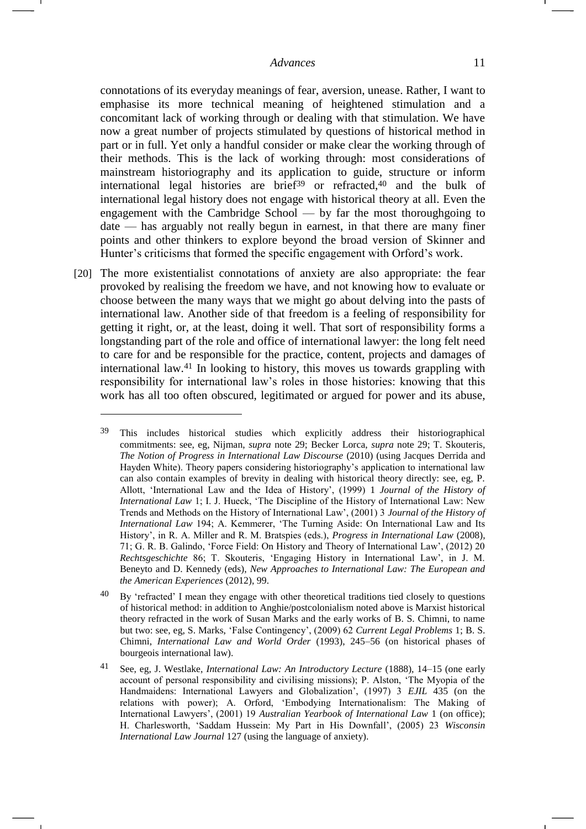connotations of its everyday meanings of fear, aversion, unease. Rather, I want to emphasise its more technical meaning of heightened stimulation and a concomitant lack of working through or dealing with that stimulation. We have now a great number of projects stimulated by questions of historical method in part or in full. Yet only a handful consider or make clear the working through of their methods. This is the lack of working through: most considerations of mainstream historiography and its application to guide, structure or inform international legal histories are brief<sup>39</sup> or refracted,<sup>40</sup> and the bulk of international legal history does not engage with historical theory at all. Even the engagement with the Cambridge School — by far the most thoroughgoing to date — has arguably not really begun in earnest, in that there are many finer points and other thinkers to explore beyond the broad version of Skinner and Hunter's criticisms that formed the specific engagement with Orford's work.

[20] The more existentialist connotations of anxiety are also appropriate: the fear provoked by realising the freedom we have, and not knowing how to evaluate or choose between the many ways that we might go about delving into the pasts of international law. Another side of that freedom is a feeling of responsibility for getting it right, or, at the least, doing it well. That sort of responsibility forms a longstanding part of the role and office of international lawyer: the long felt need to care for and be responsible for the practice, content, projects and damages of international law.<sup>41</sup> In looking to history, this moves us towards grappling with responsibility for international law's roles in those histories: knowing that this work has all too often obscured, legitimated or argued for power and its abuse,

<sup>39</sup> This includes historical studies which explicitly address their historiographical commitments: see, eg, Nijman, *supra* note 29; Becker Lorca, *supra* note 29; T. Skouteris, *The Notion of Progress in International Law Discourse* (2010) (using Jacques Derrida and Hayden White). Theory papers considering historiography's application to international law can also contain examples of brevity in dealing with historical theory directly: see, eg, P. Allott, 'International Law and the Idea of History', (1999) 1 *Journal of the History of International Law* 1; I. J. Hueck, 'The Discipline of the History of International Law: New Trends and Methods on the History of International Law', (2001) 3 *Journal of the History of International Law* 194; A. Kemmerer, 'The Turning Aside: On International Law and Its History', in R. A. Miller and R. M. Bratspies (eds.), *Progress in International Law* (2008), 71; G. R. B. Galindo, 'Force Field: On History and Theory of International Law', (2012) 20 *Rechtsgeschichte* 86; T. Skouteris, 'Engaging History in International Law', in J. M. Beneyto and D. Kennedy (eds), *New Approaches to International Law: The European and the American Experiences* (2012), 99.

<sup>40</sup> By 'refracted' I mean they engage with other theoretical traditions tied closely to questions of historical method: in addition to Anghie/postcolonialism noted above is Marxist historical theory refracted in the work of Susan Marks and the early works of B. S. Chimni, to name but two: see, eg, S. Marks, 'False Contingency', (2009) 62 *Current Legal Problems* 1; B. S. Chimni, *International Law and World Order* (1993), 245–56 (on historical phases of bourgeois international law).

<sup>41</sup> See, eg, J. Westlake, *International Law: An Introductory Lecture* (1888), 14–15 (one early account of personal responsibility and civilising missions); P. Alston, 'The Myopia of the Handmaidens: International Lawyers and Globalization', (1997) 3 *EJIL* 435 (on the relations with power); A. Orford, 'Embodying Internationalism: The Making of International Lawyers', (2001) 19 *Australian Yearbook of International Law* 1 (on office); H. Charlesworth, 'Saddam Hussein: My Part in His Downfall', (2005) 23 *Wisconsin International Law Journal* 127 (using the language of anxiety).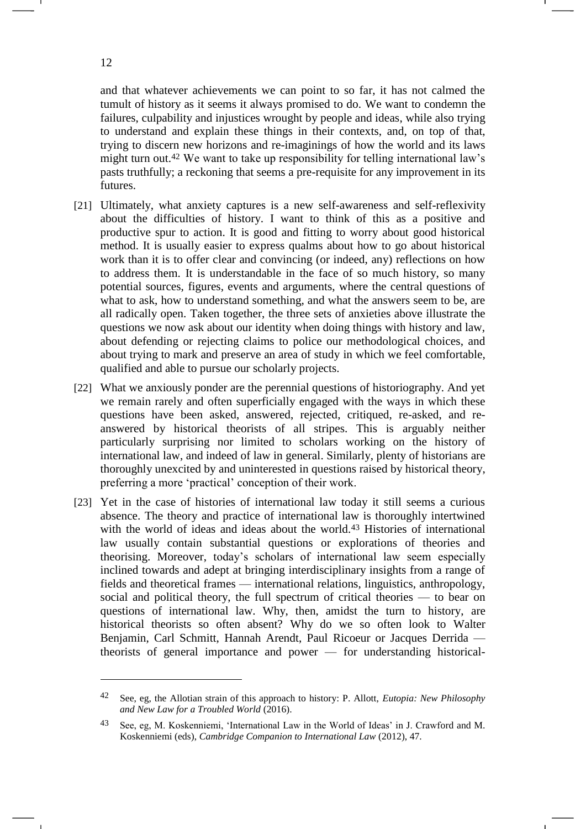and that whatever achievements we can point to so far, it has not calmed the tumult of history as it seems it always promised to do. We want to condemn the failures, culpability and injustices wrought by people and ideas, while also trying to understand and explain these things in their contexts, and, on top of that, trying to discern new horizons and re-imaginings of how the world and its laws might turn out.<sup>42</sup> We want to take up responsibility for telling international law's pasts truthfully; a reckoning that seems a pre-requisite for any improvement in its futures.

- [21] Ultimately, what anxiety captures is a new self-awareness and self-reflexivity about the difficulties of history. I want to think of this as a positive and productive spur to action. It is good and fitting to worry about good historical method. It is usually easier to express qualms about how to go about historical work than it is to offer clear and convincing (or indeed, any) reflections on how to address them. It is understandable in the face of so much history, so many potential sources, figures, events and arguments, where the central questions of what to ask, how to understand something, and what the answers seem to be, are all radically open. Taken together, the three sets of anxieties above illustrate the questions we now ask about our identity when doing things with history and law, about defending or rejecting claims to police our methodological choices, and about trying to mark and preserve an area of study in which we feel comfortable, qualified and able to pursue our scholarly projects.
- [22] What we anxiously ponder are the perennial questions of historiography. And yet we remain rarely and often superficially engaged with the ways in which these questions have been asked, answered, rejected, critiqued, re-asked, and reanswered by historical theorists of all stripes. This is arguably neither particularly surprising nor limited to scholars working on the history of international law, and indeed of law in general. Similarly, plenty of historians are thoroughly unexcited by and uninterested in questions raised by historical theory, preferring a more 'practical' conception of their work.
- [23] Yet in the case of histories of international law today it still seems a curious absence. The theory and practice of international law is thoroughly intertwined with the world of ideas and ideas about the world.<sup>43</sup> Histories of international law usually contain substantial questions or explorations of theories and theorising. Moreover, today's scholars of international law seem especially inclined towards and adept at bringing interdisciplinary insights from a range of fields and theoretical frames — international relations, linguistics, anthropology, social and political theory, the full spectrum of critical theories — to bear on questions of international law. Why, then, amidst the turn to history, are historical theorists so often absent? Why do we so often look to Walter Benjamin, Carl Schmitt, Hannah Arendt, Paul Ricoeur or Jacques Derrida theorists of general importance and power — for understanding historical-

1

<sup>42</sup> See, eg, the Allotian strain of this approach to history: P. Allott, *Eutopia: New Philosophy and New Law for a Troubled World* (2016).

<sup>43</sup> See, eg, M. Koskenniemi, 'International Law in the World of Ideas' in J. Crawford and M. Koskenniemi (eds), *Cambridge Companion to International Law* (2012), 47.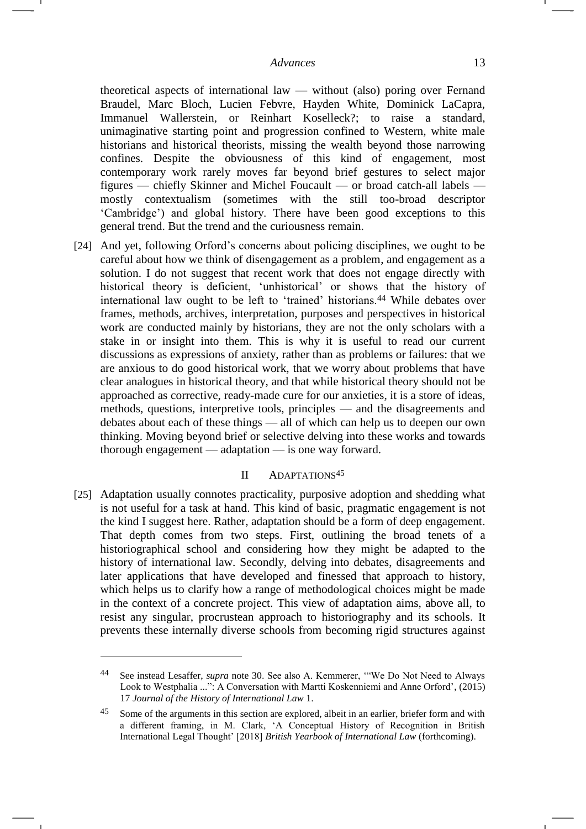theoretical aspects of international law — without (also) poring over Fernand Braudel, Marc Bloch, Lucien Febvre, Hayden White, Dominick LaCapra, Immanuel Wallerstein, or Reinhart Koselleck?; to raise a standard, unimaginative starting point and progression confined to Western, white male historians and historical theorists, missing the wealth beyond those narrowing confines. Despite the obviousness of this kind of engagement, most contemporary work rarely moves far beyond brief gestures to select major figures — chiefly Skinner and Michel Foucault — or broad catch-all labels mostly contextualism (sometimes with the still too-broad descriptor 'Cambridge') and global history. There have been good exceptions to this general trend. But the trend and the curiousness remain.

[24] And yet, following Orford's concerns about policing disciplines, we ought to be careful about how we think of disengagement as a problem, and engagement as a solution. I do not suggest that recent work that does not engage directly with historical theory is deficient, 'unhistorical' or shows that the history of international law ought to be left to 'trained' historians.<sup>44</sup> While debates over frames, methods, archives, interpretation, purposes and perspectives in historical work are conducted mainly by historians, they are not the only scholars with a stake in or insight into them. This is why it is useful to read our current discussions as expressions of anxiety, rather than as problems or failures: that we are anxious to do good historical work, that we worry about problems that have clear analogues in historical theory, and that while historical theory should not be approached as corrective, ready-made cure for our anxieties, it is a store of ideas, methods, questions, interpretive tools, principles — and the disagreements and debates about each of these things — all of which can help us to deepen our own thinking. Moving beyond brief or selective delving into these works and towards thorough engagement — adaptation — is one way forward.

# II ADAPTATIONS<sup>45</sup>

[25] Adaptation usually connotes practicality, purposive adoption and shedding what is not useful for a task at hand. This kind of basic, pragmatic engagement is not the kind I suggest here. Rather, adaptation should be a form of deep engagement. That depth comes from two steps. First, outlining the broad tenets of a historiographical school and considering how they might be adapted to the history of international law. Secondly, delving into debates, disagreements and later applications that have developed and finessed that approach to history, which helps us to clarify how a range of methodological choices might be made in the context of a concrete project. This view of adaptation aims, above all, to resist any singular, procrustean approach to historiography and its schools. It prevents these internally diverse schools from becoming rigid structures against

<sup>44</sup> See instead Lesaffer, *supra* note 30. See also A. Kemmerer, '"We Do Not Need to Always Look to Westphalia ...": A Conversation with Martti Koskenniemi and Anne Orford', (2015) 17 *Journal of the History of International Law* 1.

<sup>&</sup>lt;sup>45</sup> Some of the arguments in this section are explored, albeit in an earlier, briefer form and with a different framing, in M. Clark, 'A Conceptual History of Recognition in British International Legal Thought' [2018] *British Yearbook of International Law* (forthcoming).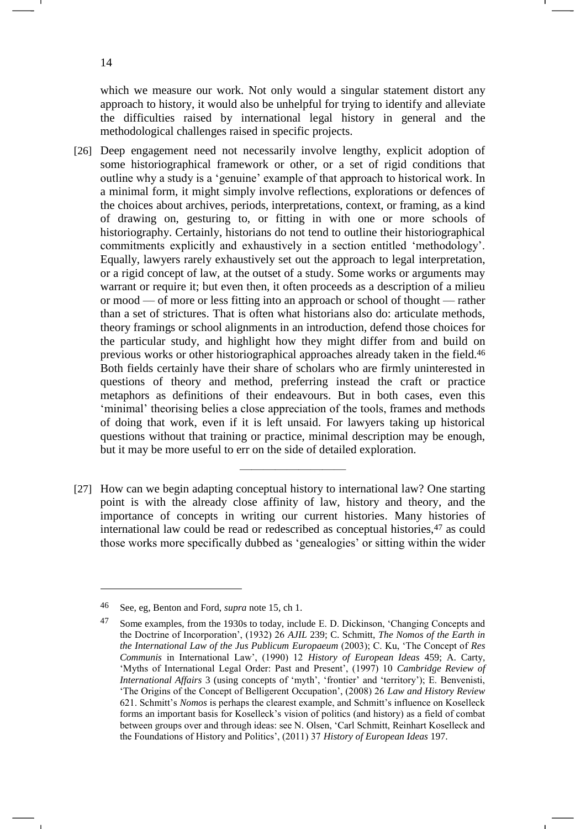which we measure our work. Not only would a singular statement distort any approach to history, it would also be unhelpful for trying to identify and alleviate the difficulties raised by international legal history in general and the methodological challenges raised in specific projects.

- [26] Deep engagement need not necessarily involve lengthy, explicit adoption of some historiographical framework or other, or a set of rigid conditions that outline why a study is a 'genuine' example of that approach to historical work. In a minimal form, it might simply involve reflections, explorations or defences of the choices about archives, periods, interpretations, context, or framing, as a kind of drawing on, gesturing to, or fitting in with one or more schools of historiography. Certainly, historians do not tend to outline their historiographical commitments explicitly and exhaustively in a section entitled 'methodology'. Equally, lawyers rarely exhaustively set out the approach to legal interpretation, or a rigid concept of law, at the outset of a study. Some works or arguments may warrant or require it; but even then, it often proceeds as a description of a milieu or mood — of more or less fitting into an approach or school of thought — rather than a set of strictures. That is often what historians also do: articulate methods, theory framings or school alignments in an introduction, defend those choices for the particular study, and highlight how they might differ from and build on previous works or other historiographical approaches already taken in the field.<sup>46</sup> Both fields certainly have their share of scholars who are firmly uninterested in questions of theory and method, preferring instead the craft or practice metaphors as definitions of their endeavours. But in both cases, even this 'minimal' theorising belies a close appreciation of the tools, frames and methods of doing that work, even if it is left unsaid. For lawyers taking up historical questions without that training or practice, minimal description may be enough, but it may be more useful to err on the side of detailed exploration.
- [27] How can we begin adapting conceptual history to international law? One starting point is with the already close affinity of law, history and theory, and the importance of concepts in writing our current histories. Many histories of international law could be read or redescribed as conceptual histories, <sup>47</sup> as could those works more specifically dubbed as 'genealogies' or sitting within the wider

—————————

<sup>46</sup> See, eg, Benton and Ford, *supra* note 15, ch 1.

<sup>47</sup> Some examples, from the 1930s to today, include E. D. Dickinson, 'Changing Concepts and the Doctrine of Incorporation', (1932) 26 *AJIL* 239; C. Schmitt, *The Nomos of the Earth in the International Law of the Jus Publicum Europaeum* (2003); C. Ku, 'The Concept of *Res Communis* in International Law', (1990) 12 *History of European Ideas* 459; A. Carty, 'Myths of International Legal Order: Past and Present', (1997) 10 *Cambridge Review of International Affairs* 3 (using concepts of 'myth', 'frontier' and 'territory'); E. Benvenisti, 'The Origins of the Concept of Belligerent Occupation', (2008) 26 *Law and History Review* 621. Schmitt's *Nomos* is perhaps the clearest example, and Schmitt's influence on Koselleck forms an important basis for Koselleck's vision of politics (and history) as a field of combat between groups over and through ideas: see N. Olsen, 'Carl Schmitt, Reinhart Koselleck and the Foundations of History and Politics', (2011) 37 *History of European Ideas* 197.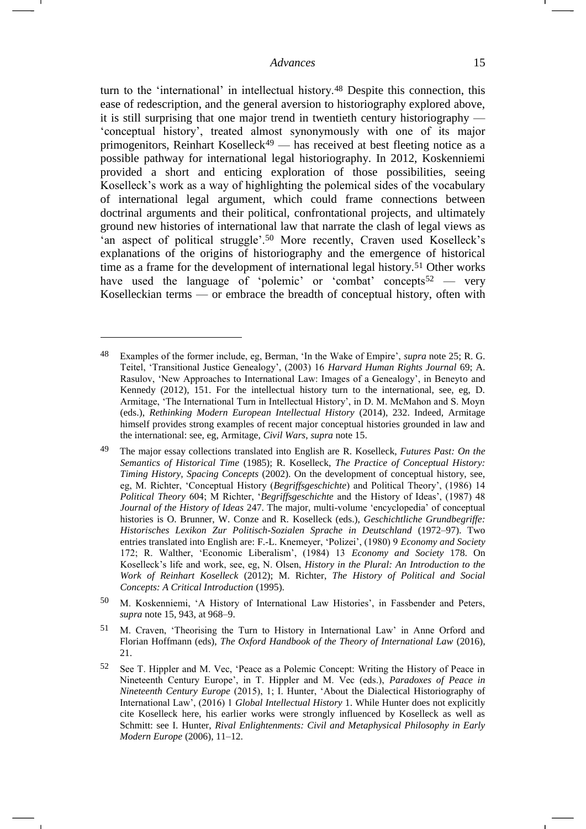turn to the 'international' in intellectual history.<sup>48</sup> Despite this connection, this ease of redescription, and the general aversion to historiography explored above, it is still surprising that one major trend in twentieth century historiography — 'conceptual history', treated almost synonymously with one of its major primogenitors, Reinhart Koselleck<sup>49</sup> — has received at best fleeting notice as a possible pathway for international legal historiography. In 2012, Koskenniemi provided a short and enticing exploration of those possibilities, seeing Koselleck's work as a way of highlighting the polemical sides of the vocabulary of international legal argument, which could frame connections between doctrinal arguments and their political, confrontational projects, and ultimately ground new histories of international law that narrate the clash of legal views as 'an aspect of political struggle'.<sup>50</sup> More recently, Craven used Koselleck's explanations of the origins of historiography and the emergence of historical time as a frame for the development of international legal history.<sup>51</sup> Other works have used the language of 'polemic' or 'combat' concepts<sup>52</sup> — very Koselleckian terms — or embrace the breadth of conceptual history, often with

-

<sup>48</sup> Examples of the former include, eg, Berman, 'In the Wake of Empire', *supra* note 25; R. G. Teitel, 'Transitional Justice Genealogy', (2003) 16 *Harvard Human Rights Journal* 69; A. Rasulov, 'New Approaches to International Law: Images of a Genealogy', in Beneyto and Kennedy (2012), 151. For the intellectual history turn to the international, see, eg, D. Armitage, 'The International Turn in Intellectual History', in D. M. McMahon and S. Moyn (eds.), *Rethinking Modern European Intellectual History* (2014), 232. Indeed, Armitage himself provides strong examples of recent major conceptual histories grounded in law and the international: see, eg, Armitage, *Civil Wars*, *supra* note 15.

<sup>49</sup> The major essay collections translated into English are R. Koselleck, *Futures Past: On the Semantics of Historical Time* (1985); R. Koselleck, *The Practice of Conceptual History: Timing History, Spacing Concepts* (2002). On the development of conceptual history, see, eg, M. Richter, 'Conceptual History (*Begriffsgeschichte*) and Political Theory', (1986) 14 *Political Theory* 604; M Richter, '*Begriffsgeschichte* and the History of Ideas', (1987) 48 *Journal of the History of Ideas* 247. The major, multi-volume 'encyclopedia' of conceptual histories is O. Brunner, W. Conze and R. Koselleck (eds.), *Geschichtliche Grundbegriffe: Historisches Lexikon Zur Politisch-Sozialen Sprache in Deutschland* (1972–97). Two entries translated into English are: F.-L. Knemeyer, 'Polizei', (1980) 9 *Economy and Society* 172; R. Walther, 'Economic Liberalism', (1984) 13 *Economy and Society* 178. On Koselleck's life and work, see, eg, N. Olsen, *History in the Plural: An Introduction to the Work of Reinhart Koselleck* (2012); M. Richter, *The History of Political and Social Concepts: A Critical Introduction* (1995).

<sup>50</sup> M. Koskenniemi, 'A History of International Law Histories', in Fassbender and Peters, *supra* note 15, 943, at 968–9.

<sup>51</sup> M. Craven, 'Theorising the Turn to History in International Law' in Anne Orford and Florian Hoffmann (eds), *The Oxford Handbook of the Theory of International Law* (2016), 21.

<sup>52</sup> See T. Hippler and M. Vec, 'Peace as a Polemic Concept: Writing the History of Peace in Nineteenth Century Europe', in T. Hippler and M. Vec (eds.), *Paradoxes of Peace in Nineteenth Century Europe* (2015), 1; I. Hunter, 'About the Dialectical Historiography of International Law', (2016) 1 *Global Intellectual History* 1. While Hunter does not explicitly cite Koselleck here, his earlier works were strongly influenced by Koselleck as well as Schmitt: see I. Hunter, *Rival Enlightenments: Civil and Metaphysical Philosophy in Early Modern Europe* (2006), 11–12.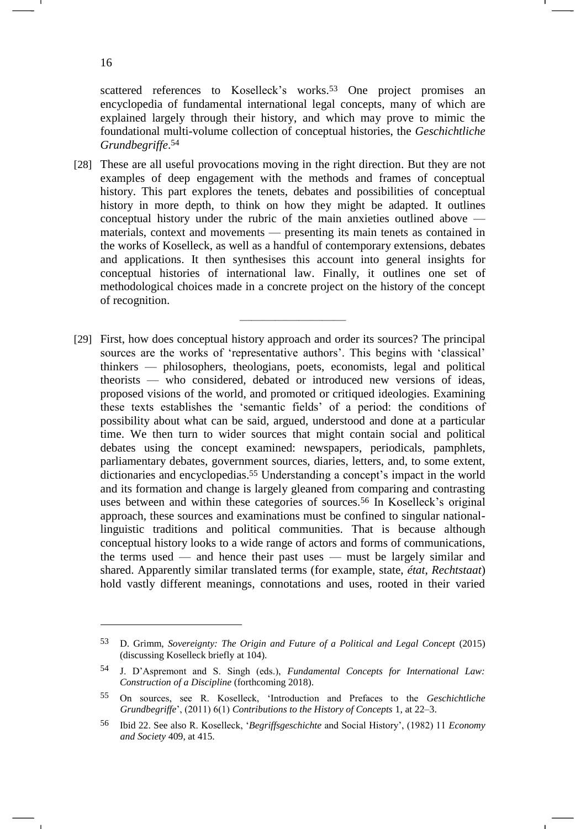scattered references to Koselleck's works.<sup>53</sup> One project promises an encyclopedia of fundamental international legal concepts, many of which are explained largely through their history, and which may prove to mimic the foundational multi-volume collection of conceptual histories, the *Geschichtliche Grundbegriffe*. 54

[28] These are all useful provocations moving in the right direction. But they are not examples of deep engagement with the methods and frames of conceptual history. This part explores the tenets, debates and possibilities of conceptual history in more depth, to think on how they might be adapted. It outlines conceptual history under the rubric of the main anxieties outlined above materials, context and movements — presenting its main tenets as contained in the works of Koselleck, as well as a handful of contemporary extensions, debates and applications. It then synthesises this account into general insights for conceptual histories of international law. Finally, it outlines one set of methodological choices made in a concrete project on the history of the concept of recognition.

—————————

[29] First, how does conceptual history approach and order its sources? The principal sources are the works of 'representative authors'. This begins with 'classical' thinkers — philosophers, theologians, poets, economists, legal and political theorists — who considered, debated or introduced new versions of ideas, proposed visions of the world, and promoted or critiqued ideologies. Examining these texts establishes the 'semantic fields' of a period: the conditions of possibility about what can be said, argued, understood and done at a particular time. We then turn to wider sources that might contain social and political debates using the concept examined: newspapers, periodicals, pamphlets, parliamentary debates, government sources, diaries, letters, and, to some extent, dictionaries and encyclopedias. <sup>55</sup> Understanding a concept's impact in the world and its formation and change is largely gleaned from comparing and contrasting uses between and within these categories of sources.<sup>56</sup> In Koselleck's original approach, these sources and examinations must be confined to singular nationallinguistic traditions and political communities. That is because although conceptual history looks to a wide range of actors and forms of communications, the terms used — and hence their past uses — must be largely similar and shared. Apparently similar translated terms (for example, state, *état*, *Rechtstaat*) hold vastly different meanings, connotations and uses, rooted in their varied

<sup>53</sup> D. Grimm, *Sovereignty: The Origin and Future of a Political and Legal Concept* (2015) (discussing Koselleck briefly at 104).

<sup>54</sup> J. D'Aspremont and S. Singh (eds.), *Fundamental Concepts for International Law: Construction of a Discipline* (forthcoming 2018).

<sup>55</sup> On sources, see R. Koselleck, 'Introduction and Prefaces to the *Geschichtliche Grundbegriffe*', (2011) 6(1) *Contributions to the History of Concepts* 1, at 22–3.

<sup>56</sup> Ibid 22. See also R. Koselleck, '*Begriffsgeschichte* and Social History', (1982) 11 *Economy and Society* 409, at 415.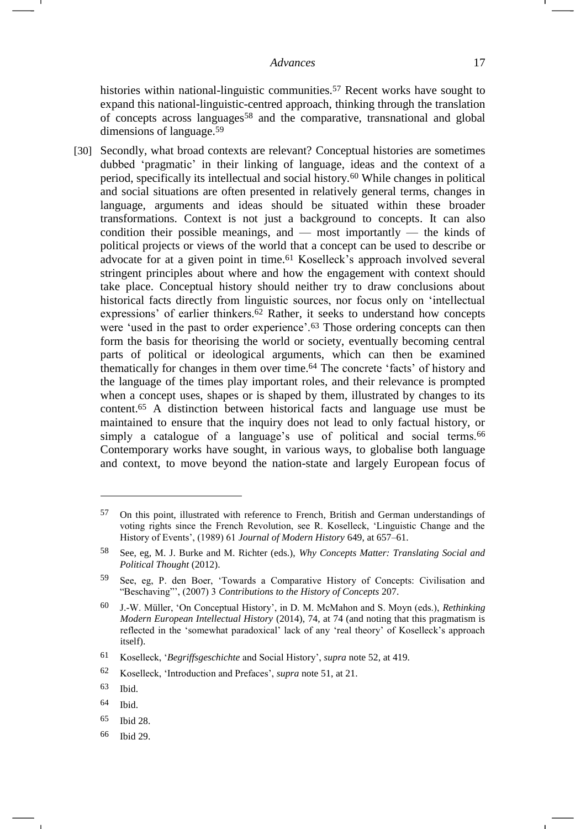histories within national-linguistic communities.<sup>57</sup> Recent works have sought to expand this national-linguistic-centred approach, thinking through the translation of concepts across languages<sup>58</sup> and the comparative, transnational and global dimensions of language.<sup>59</sup>

[30] Secondly, what broad contexts are relevant? Conceptual histories are sometimes dubbed 'pragmatic' in their linking of language, ideas and the context of a period, specifically its intellectual and social history.<sup>60</sup> While changes in political and social situations are often presented in relatively general terms, changes in language, arguments and ideas should be situated within these broader transformations. Context is not just a background to concepts. It can also condition their possible meanings, and — most importantly — the kinds of political projects or views of the world that a concept can be used to describe or advocate for at a given point in time.<sup>61</sup> Koselleck's approach involved several stringent principles about where and how the engagement with context should take place. Conceptual history should neither try to draw conclusions about historical facts directly from linguistic sources, nor focus only on 'intellectual expressions' of earlier thinkers.<sup>62</sup> Rather, it seeks to understand how concepts were 'used in the past to order experience'.<sup>63</sup> Those ordering concepts can then form the basis for theorising the world or society, eventually becoming central parts of political or ideological arguments, which can then be examined thematically for changes in them over time.<sup>64</sup> The concrete 'facts' of history and the language of the times play important roles, and their relevance is prompted when a concept uses, shapes or is shaped by them, illustrated by changes to its content.<sup>65</sup> A distinction between historical facts and language use must be maintained to ensure that the inquiry does not lead to only factual history, or simply a catalogue of a language's use of political and social terms.<sup>66</sup> Contemporary works have sought, in various ways, to globalise both language and context, to move beyond the nation-state and largely European focus of

62 Koselleck, 'Introduction and Prefaces', *supra* note 51, at 21.

<sup>57</sup> On this point, illustrated with reference to French, British and German understandings of voting rights since the French Revolution, see R. Koselleck, 'Linguistic Change and the History of Events', (1989) 61 *Journal of Modern History* 649, at 657–61.

<sup>58</sup> See, eg, M. J. Burke and M. Richter (eds.), *Why Concepts Matter: Translating Social and Political Thought* (2012).

<sup>59</sup> See, eg, P. den Boer, 'Towards a Comparative History of Concepts: Civilisation and "Beschaving"', (2007) 3 *Contributions to the History of Concepts* 207.

<sup>60</sup> J.-W. Müller, 'On Conceptual History', in D. M. McMahon and S. Moyn (eds.), *Rethinking Modern European Intellectual History* (2014), 74, at 74 (and noting that this pragmatism is reflected in the 'somewhat paradoxical' lack of any 'real theory' of Koselleck's approach itself).

<sup>61</sup> Koselleck, '*Begriffsgeschichte* and Social History', *supra* note 52, at 419.

<sup>63</sup> Ibid.

<sup>64</sup> Ibid.

<sup>65</sup> Ibid 28.

<sup>66</sup> Ibid 29.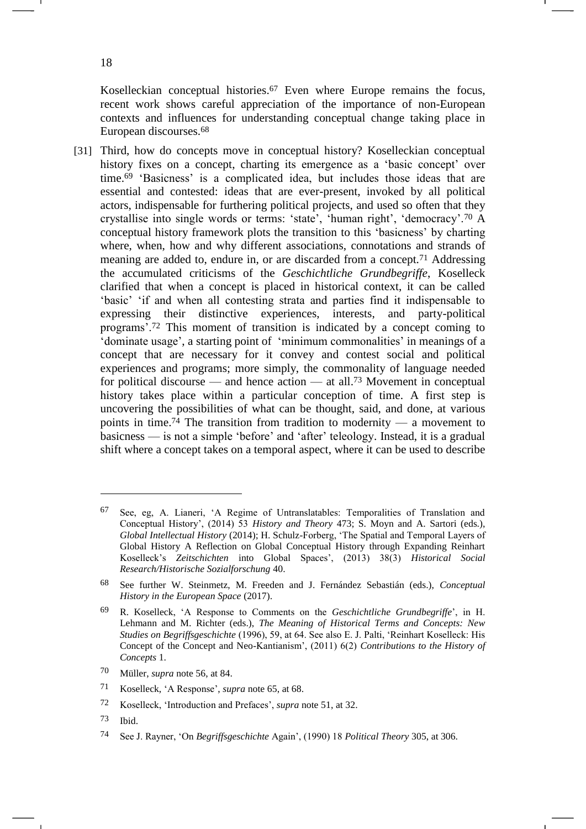Koselleckian conceptual histories. <sup>67</sup> Even where Europe remains the focus, recent work shows careful appreciation of the importance of non-European contexts and influences for understanding conceptual change taking place in European discourses.<sup>68</sup>

[31] Third, how do concepts move in conceptual history? Koselleckian conceptual history fixes on a concept, charting its emergence as a 'basic concept' over time.<sup>69</sup> 'Basicness' is a complicated idea, but includes those ideas that are essential and contested: ideas that are ever-present, invoked by all political actors, indispensable for furthering political projects, and used so often that they crystallise into single words or terms: 'state', 'human right', 'democracy'.<sup>70</sup> A conceptual history framework plots the transition to this 'basicness' by charting where, when, how and why different associations, connotations and strands of meaning are added to, endure in, or are discarded from a concept.<sup>71</sup> Addressing the accumulated criticisms of the *Geschichtliche Grundbegriffe*, Koselleck clarified that when a concept is placed in historical context, it can be called 'basic' 'if and when all contesting strata and parties find it indispensable to expressing their distinctive experiences, interests, and party-political programs'.<sup>72</sup> This moment of transition is indicated by a concept coming to 'dominate usage', a starting point of 'minimum commonalities' in meanings of a concept that are necessary for it convey and contest social and political experiences and programs; more simply, the commonality of language needed for political discourse — and hence action — at all.<sup>73</sup> Movement in conceptual history takes place within a particular conception of time. A first step is uncovering the possibilities of what can be thought, said, and done, at various points in time.<sup>74</sup> The transition from tradition to modernity — a movement to basicness — is not a simple 'before' and 'after' teleology. Instead, it is a gradual shift where a concept takes on a temporal aspect, where it can be used to describe

- 70 Müller, *supra* note 56, at 84.
- 71 Koselleck, 'A Response', *supra* note 65, at 68.
- 72 Koselleck, 'Introduction and Prefaces', *supra* note 51, at 32.
- 73 Ibid.

-

<sup>67</sup> See, eg, A. Lianeri, 'A Regime of Untranslatables: Temporalities of Translation and Conceptual History', (2014) 53 *History and Theory* 473; S. Moyn and A. Sartori (eds.), *Global Intellectual History* (2014); H. Schulz-Forberg, 'The Spatial and Temporal Layers of Global History A Reflection on Global Conceptual History through Expanding Reinhart Koselleck's *Zeitschichten* into Global Spaces', (2013) 38(3) *Historical Social Research/Historische Sozialforschung* 40.

<sup>68</sup> See further W. Steinmetz, M. Freeden and J. Fernández Sebastián (eds.), *Conceptual History in the European Space* (2017).

<sup>69</sup> R. Koselleck, 'A Response to Comments on the *Geschichtliche Grundbegriffe*', in H. Lehmann and M. Richter (eds.), *The Meaning of Historical Terms and Concepts: New Studies on Begriffsgeschichte* (1996), 59, at 64. See also E. J. Palti, 'Reinhart Koselleck: His Concept of the Concept and Neo-Kantianism', (2011) 6(2) *Contributions to the History of Concepts* 1.

<sup>74</sup> See J. Rayner, 'On *Begriffsgeschichte* Again', (1990) 18 *Political Theory* 305, at 306.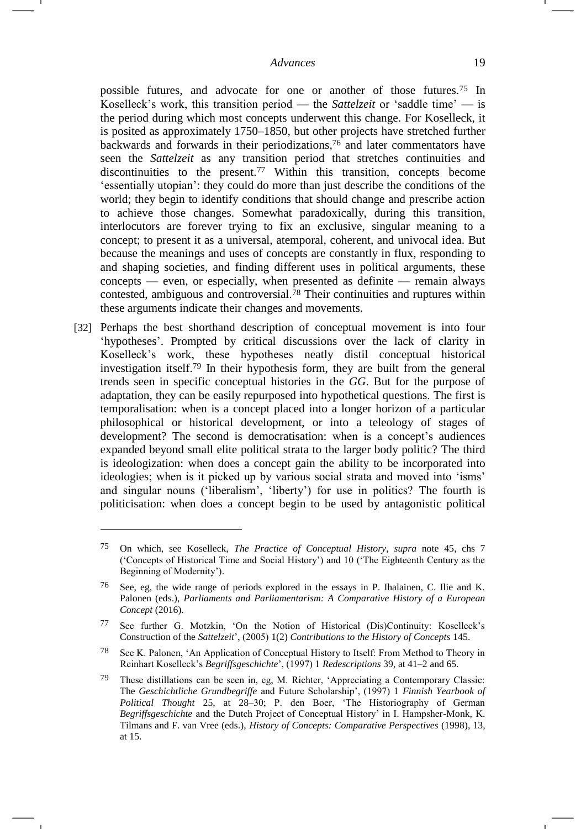possible futures, and advocate for one or another of those futures.<sup>75</sup> In Koselleck's work, this transition period — the *Sattelzeit* or 'saddle time' — is the period during which most concepts underwent this change. For Koselleck, it is posited as approximately 1750–1850, but other projects have stretched further backwards and forwards in their periodizations, <sup>76</sup> and later commentators have seen the *Sattelzeit* as any transition period that stretches continuities and discontinuities to the present.<sup>77</sup> Within this transition, concepts become 'essentially utopian': they could do more than just describe the conditions of the world; they begin to identify conditions that should change and prescribe action to achieve those changes. Somewhat paradoxically, during this transition, interlocutors are forever trying to fix an exclusive, singular meaning to a concept; to present it as a universal, atemporal, coherent, and univocal idea. But because the meanings and uses of concepts are constantly in flux, responding to and shaping societies, and finding different uses in political arguments, these concepts — even, or especially, when presented as definite — remain always contested, ambiguous and controversial.<sup>78</sup> Their continuities and ruptures within these arguments indicate their changes and movements.

[32] Perhaps the best shorthand description of conceptual movement is into four 'hypotheses'. Prompted by critical discussions over the lack of clarity in Koselleck's work, these hypotheses neatly distil conceptual historical investigation itself. <sup>79</sup> In their hypothesis form, they are built from the general trends seen in specific conceptual histories in the *GG*. But for the purpose of adaptation, they can be easily repurposed into hypothetical questions. The first is temporalisation: when is a concept placed into a longer horizon of a particular philosophical or historical development, or into a teleology of stages of development? The second is democratisation: when is a concept's audiences expanded beyond small elite political strata to the larger body politic? The third is ideologization: when does a concept gain the ability to be incorporated into ideologies; when is it picked up by various social strata and moved into 'isms' and singular nouns ('liberalism', 'liberty') for use in politics? The fourth is politicisation: when does a concept begin to be used by antagonistic political

<sup>75</sup> On which, see Koselleck, *The Practice of Conceptual History*, *supra* note 45, chs 7 ('Concepts of Historical Time and Social History') and 10 ('The Eighteenth Century as the Beginning of Modernity').

<sup>76</sup> See, eg, the wide range of periods explored in the essays in P. Ihalainen, C. Ilie and K. Palonen (eds.), *Parliaments and Parliamentarism: A Comparative History of a European Concept* (2016).

<sup>77</sup> See further G. Motzkin, 'On the Notion of Historical (Dis)Continuity: Koselleck's Construction of the *Sattelzeit*', (2005) 1(2) *Contributions to the History of Concepts* 145.

<sup>78</sup> See K. Palonen, 'An Application of Conceptual History to Itself: From Method to Theory in Reinhart Koselleck's *Begriffsgeschichte*', (1997) 1 *Redescriptions* 39, at 41–2 and 65.

<sup>79</sup> These distillations can be seen in, eg, M. Richter, 'Appreciating a Contemporary Classic: The *Geschichtliche Grundbegriffe* and Future Scholarship', (1997) 1 *Finnish Yearbook of Political Thought* 25, at 28–30; P. den Boer, 'The Historiography of German *Begriffsgeschichte* and the Dutch Project of Conceptual History' in I. Hampsher-Monk, K. Tilmans and F. van Vree (eds.), *History of Concepts: Comparative Perspectives* (1998), 13, at 15.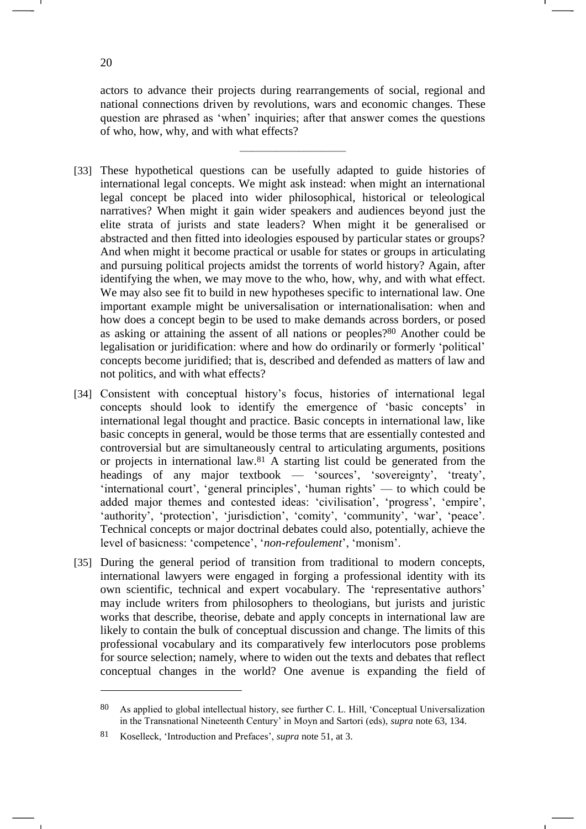actors to advance their projects during rearrangements of social, regional and national connections driven by revolutions, wars and economic changes. These question are phrased as 'when' inquiries; after that answer comes the questions of who, how, why, and with what effects?

—————————

- [33] These hypothetical questions can be usefully adapted to guide histories of international legal concepts. We might ask instead: when might an international legal concept be placed into wider philosophical, historical or teleological narratives? When might it gain wider speakers and audiences beyond just the elite strata of jurists and state leaders? When might it be generalised or abstracted and then fitted into ideologies espoused by particular states or groups? And when might it become practical or usable for states or groups in articulating and pursuing political projects amidst the torrents of world history? Again, after identifying the when, we may move to the who, how, why, and with what effect. We may also see fit to build in new hypotheses specific to international law. One important example might be universalisation or internationalisation: when and how does a concept begin to be used to make demands across borders, or posed as asking or attaining the assent of all nations or peoples?<sup>80</sup> Another could be legalisation or juridification: where and how do ordinarily or formerly 'political' concepts become juridified; that is, described and defended as matters of law and not politics, and with what effects?
- [34] Consistent with conceptual history's focus, histories of international legal concepts should look to identify the emergence of 'basic concepts' in international legal thought and practice. Basic concepts in international law, like basic concepts in general, would be those terms that are essentially contested and controversial but are simultaneously central to articulating arguments, positions or projects in international law.<sup>81</sup> A starting list could be generated from the headings of any major textbook — 'sources', 'sovereignty', 'treaty', 'international court', 'general principles', 'human rights' — to which could be added major themes and contested ideas: 'civilisation', 'progress', 'empire', 'authority', 'protection', 'jurisdiction', 'comity', 'community', 'war', 'peace'. Technical concepts or major doctrinal debates could also, potentially, achieve the level of basicness: 'competence', '*non-refoulement*', 'monism'.
- [35] During the general period of transition from traditional to modern concepts, international lawyers were engaged in forging a professional identity with its own scientific, technical and expert vocabulary. The 'representative authors' may include writers from philosophers to theologians, but jurists and juristic works that describe, theorise, debate and apply concepts in international law are likely to contain the bulk of conceptual discussion and change. The limits of this professional vocabulary and its comparatively few interlocutors pose problems for source selection; namely, where to widen out the texts and debates that reflect conceptual changes in the world? One avenue is expanding the field of

<sup>80</sup> As applied to global intellectual history, see further C. L. Hill, 'Conceptual Universalization in the Transnational Nineteenth Century' in Moyn and Sartori (eds), *supra* note 63, 134.

<sup>81</sup> Koselleck, 'Introduction and Prefaces', *supra* note 51, at 3.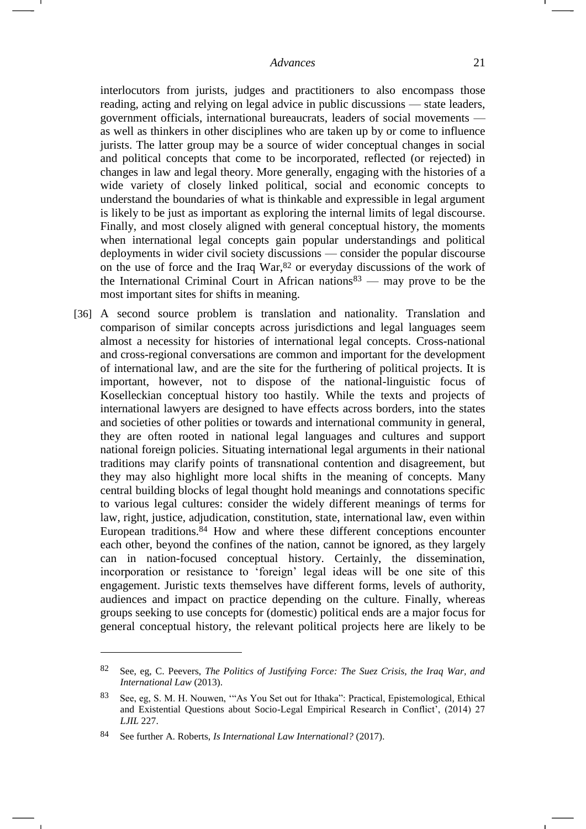interlocutors from jurists, judges and practitioners to also encompass those reading, acting and relying on legal advice in public discussions — state leaders, government officials, international bureaucrats, leaders of social movements as well as thinkers in other disciplines who are taken up by or come to influence jurists. The latter group may be a source of wider conceptual changes in social and political concepts that come to be incorporated, reflected (or rejected) in changes in law and legal theory. More generally, engaging with the histories of a wide variety of closely linked political, social and economic concepts to understand the boundaries of what is thinkable and expressible in legal argument is likely to be just as important as exploring the internal limits of legal discourse. Finally, and most closely aligned with general conceptual history, the moments when international legal concepts gain popular understandings and political deployments in wider civil society discussions — consider the popular discourse on the use of force and the Iraq War,<sup>82</sup> or everyday discussions of the work of the International Criminal Court in African nations<sup>83</sup> — may prove to be the most important sites for shifts in meaning.

[36] A second source problem is translation and nationality. Translation and comparison of similar concepts across jurisdictions and legal languages seem almost a necessity for histories of international legal concepts. Cross-national and cross-regional conversations are common and important for the development of international law, and are the site for the furthering of political projects. It is important, however, not to dispose of the national-linguistic focus of Koselleckian conceptual history too hastily. While the texts and projects of international lawyers are designed to have effects across borders, into the states and societies of other polities or towards and international community in general, they are often rooted in national legal languages and cultures and support national foreign policies. Situating international legal arguments in their national traditions may clarify points of transnational contention and disagreement, but they may also highlight more local shifts in the meaning of concepts. Many central building blocks of legal thought hold meanings and connotations specific to various legal cultures: consider the widely different meanings of terms for law, right, justice, adjudication, constitution, state, international law, even within European traditions.<sup>84</sup> How and where these different conceptions encounter each other, beyond the confines of the nation, cannot be ignored, as they largely can in nation-focused conceptual history. Certainly, the dissemination, incorporation or resistance to 'foreign' legal ideas will be one site of this engagement. Juristic texts themselves have different forms, levels of authority, audiences and impact on practice depending on the culture. Finally, whereas groups seeking to use concepts for (domestic) political ends are a major focus for general conceptual history, the relevant political projects here are likely to be

<sup>82</sup> See, eg, C. Peevers, *The Politics of Justifying Force: The Suez Crisis, the Iraq War, and International Law* (2013).

<sup>83</sup> See, eg, S. M. H. Nouwen, '"As You Set out for Ithaka": Practical, Epistemological, Ethical and Existential Questions about Socio-Legal Empirical Research in Conflict', (2014) 27 *LJIL* 227.

<sup>84</sup> See further A. Roberts, *Is International Law International?* (2017).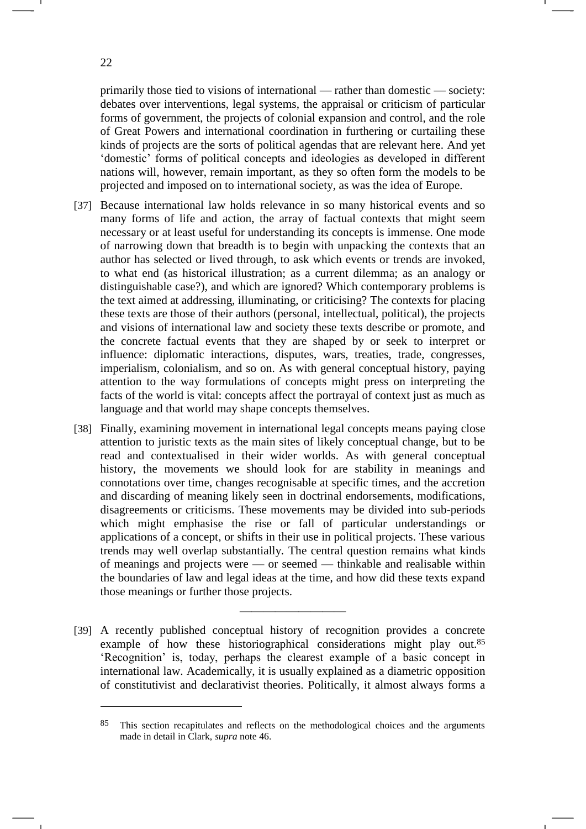primarily those tied to visions of international — rather than domestic — society: debates over interventions, legal systems, the appraisal or criticism of particular forms of government, the projects of colonial expansion and control, and the role of Great Powers and international coordination in furthering or curtailing these kinds of projects are the sorts of political agendas that are relevant here. And yet 'domestic' forms of political concepts and ideologies as developed in different nations will, however, remain important, as they so often form the models to be projected and imposed on to international society, as was the idea of Europe.

- [37] Because international law holds relevance in so many historical events and so many forms of life and action, the array of factual contexts that might seem necessary or at least useful for understanding its concepts is immense. One mode of narrowing down that breadth is to begin with unpacking the contexts that an author has selected or lived through, to ask which events or trends are invoked, to what end (as historical illustration; as a current dilemma; as an analogy or distinguishable case?), and which are ignored? Which contemporary problems is the text aimed at addressing, illuminating, or criticising? The contexts for placing these texts are those of their authors (personal, intellectual, political), the projects and visions of international law and society these texts describe or promote, and the concrete factual events that they are shaped by or seek to interpret or influence: diplomatic interactions, disputes, wars, treaties, trade, congresses, imperialism, colonialism, and so on. As with general conceptual history, paying attention to the way formulations of concepts might press on interpreting the facts of the world is vital: concepts affect the portrayal of context just as much as language and that world may shape concepts themselves.
- [38] Finally, examining movement in international legal concepts means paying close attention to juristic texts as the main sites of likely conceptual change, but to be read and contextualised in their wider worlds. As with general conceptual history, the movements we should look for are stability in meanings and connotations over time, changes recognisable at specific times, and the accretion and discarding of meaning likely seen in doctrinal endorsements, modifications, disagreements or criticisms. These movements may be divided into sub-periods which might emphasise the rise or fall of particular understandings or applications of a concept, or shifts in their use in political projects. These various trends may well overlap substantially. The central question remains what kinds of meanings and projects were — or seemed — thinkable and realisable within the boundaries of law and legal ideas at the time, and how did these texts expand those meanings or further those projects.
- [39] A recently published conceptual history of recognition provides a concrete example of how these historiographical considerations might play out.<sup>85</sup> 'Recognition' is, today, perhaps the clearest example of a basic concept in international law. Academically, it is usually explained as a diametric opposition of constitutivist and declarativist theories. Politically, it almost always forms a

—————————

<sup>85</sup> This section recapitulates and reflects on the methodological choices and the arguments made in detail in Clark, *supra* note 46.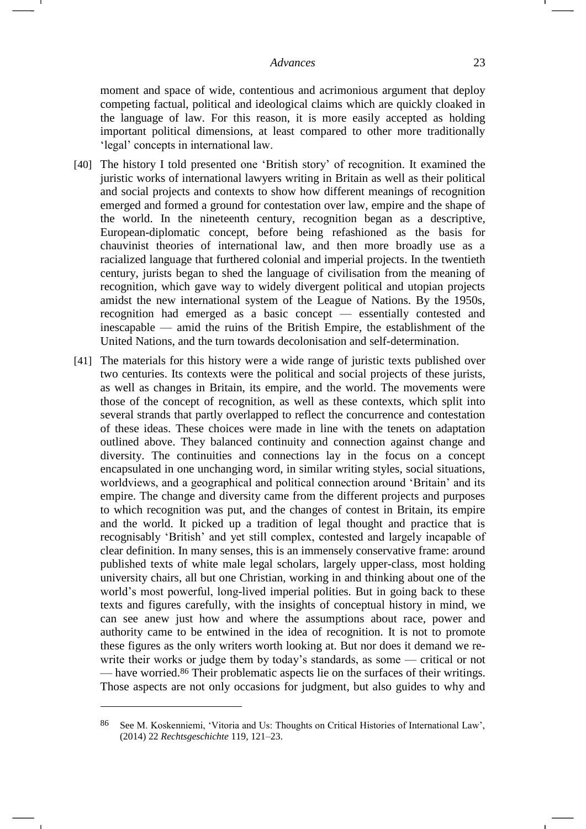moment and space of wide, contentious and acrimonious argument that deploy competing factual, political and ideological claims which are quickly cloaked in the language of law. For this reason, it is more easily accepted as holding important political dimensions, at least compared to other more traditionally 'legal' concepts in international law.

- [40] The history I told presented one 'British story' of recognition. It examined the juristic works of international lawyers writing in Britain as well as their political and social projects and contexts to show how different meanings of recognition emerged and formed a ground for contestation over law, empire and the shape of the world. In the nineteenth century, recognition began as a descriptive, European-diplomatic concept, before being refashioned as the basis for chauvinist theories of international law, and then more broadly use as a racialized language that furthered colonial and imperial projects. In the twentieth century, jurists began to shed the language of civilisation from the meaning of recognition, which gave way to widely divergent political and utopian projects amidst the new international system of the League of Nations. By the 1950s, recognition had emerged as a basic concept — essentially contested and inescapable — amid the ruins of the British Empire, the establishment of the United Nations, and the turn towards decolonisation and self-determination.
- [41] The materials for this history were a wide range of juristic texts published over two centuries. Its contexts were the political and social projects of these jurists, as well as changes in Britain, its empire, and the world. The movements were those of the concept of recognition, as well as these contexts, which split into several strands that partly overlapped to reflect the concurrence and contestation of these ideas. These choices were made in line with the tenets on adaptation outlined above. They balanced continuity and connection against change and diversity. The continuities and connections lay in the focus on a concept encapsulated in one unchanging word, in similar writing styles, social situations, worldviews, and a geographical and political connection around 'Britain' and its empire. The change and diversity came from the different projects and purposes to which recognition was put, and the changes of contest in Britain, its empire and the world. It picked up a tradition of legal thought and practice that is recognisably 'British' and yet still complex, contested and largely incapable of clear definition. In many senses, this is an immensely conservative frame: around published texts of white male legal scholars, largely upper-class, most holding university chairs, all but one Christian, working in and thinking about one of the world's most powerful, long-lived imperial polities. But in going back to these texts and figures carefully, with the insights of conceptual history in mind, we can see anew just how and where the assumptions about race, power and authority came to be entwined in the idea of recognition. It is not to promote these figures as the only writers worth looking at. But nor does it demand we rewrite their works or judge them by today's standards, as some — critical or not — have worried.<sup>86</sup> Their problematic aspects lie on the surfaces of their writings. Those aspects are not only occasions for judgment, but also guides to why and

<sup>86</sup> See M. Koskenniemi, 'Vitoria and Us: Thoughts on Critical Histories of International Law', (2014) 22 *Rechtsgeschichte* 119, 121–23.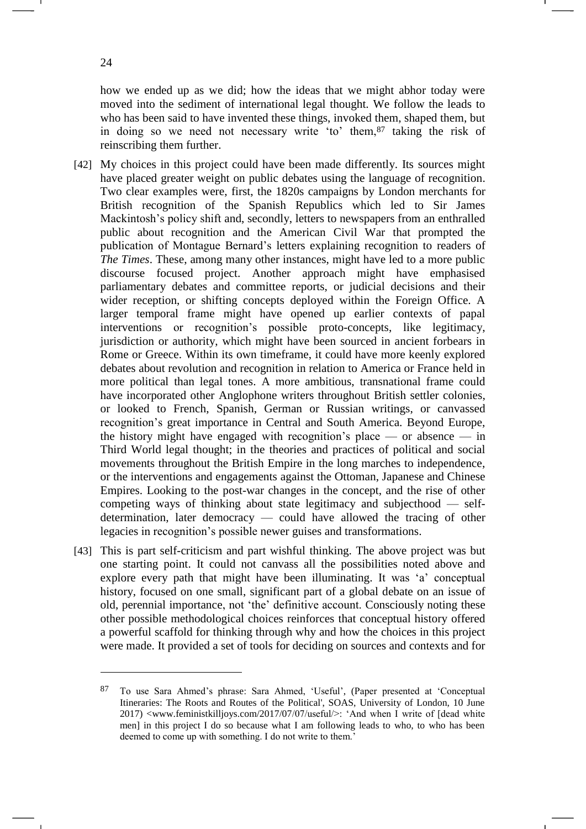how we ended up as we did; how the ideas that we might abhor today were moved into the sediment of international legal thought. We follow the leads to who has been said to have invented these things, invoked them, shaped them, but in doing so we need not necessary write 'to' them,<sup>87</sup> taking the risk of reinscribing them further.

- [42] My choices in this project could have been made differently. Its sources might have placed greater weight on public debates using the language of recognition. Two clear examples were, first, the 1820s campaigns by London merchants for British recognition of the Spanish Republics which led to Sir James Mackintosh's policy shift and, secondly, letters to newspapers from an enthralled public about recognition and the American Civil War that prompted the publication of Montague Bernard's letters explaining recognition to readers of *The Times*. These, among many other instances, might have led to a more public discourse focused project. Another approach might have emphasised parliamentary debates and committee reports, or judicial decisions and their wider reception, or shifting concepts deployed within the Foreign Office. A larger temporal frame might have opened up earlier contexts of papal interventions or recognition's possible proto-concepts, like legitimacy, jurisdiction or authority, which might have been sourced in ancient forbears in Rome or Greece. Within its own timeframe, it could have more keenly explored debates about revolution and recognition in relation to America or France held in more political than legal tones. A more ambitious, transnational frame could have incorporated other Anglophone writers throughout British settler colonies, or looked to French, Spanish, German or Russian writings, or canvassed recognition's great importance in Central and South America. Beyond Europe, the history might have engaged with recognition's place — or absence — in Third World legal thought; in the theories and practices of political and social movements throughout the British Empire in the long marches to independence, or the interventions and engagements against the Ottoman, Japanese and Chinese Empires. Looking to the post-war changes in the concept, and the rise of other competing ways of thinking about state legitimacy and subjecthood — selfdetermination, later democracy — could have allowed the tracing of other legacies in recognition's possible newer guises and transformations.
- [43] This is part self-criticism and part wishful thinking. The above project was but one starting point. It could not canvass all the possibilities noted above and explore every path that might have been illuminating. It was 'a' conceptual history, focused on one small, significant part of a global debate on an issue of old, perennial importance, not 'the' definitive account. Consciously noting these other possible methodological choices reinforces that conceptual history offered a powerful scaffold for thinking through why and how the choices in this project were made. It provided a set of tools for deciding on sources and contexts and for

24

<sup>87</sup> To use Sara Ahmed's phrase: Sara Ahmed, 'Useful', (Paper presented at 'Conceptual Itineraries: The Roots and Routes of the Political', SOAS, University of London, 10 June 2017) <www.feministkilljoys.com/2017/07/07/useful/>: 'And when I write of [dead white men] in this project I do so because what I am following leads to who, to who has been deemed to come up with something. I do not write to them.'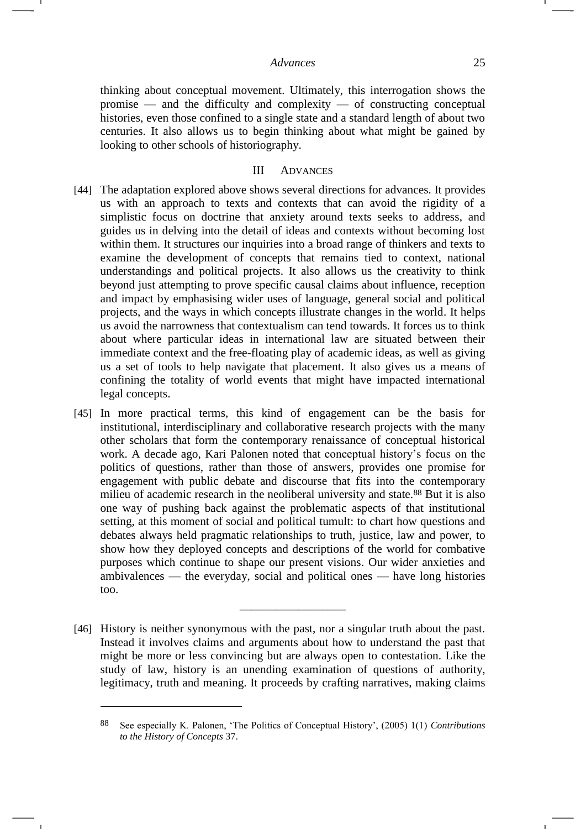thinking about conceptual movement. Ultimately, this interrogation shows the promise — and the difficulty and complexity — of constructing conceptual histories, even those confined to a single state and a standard length of about two centuries. It also allows us to begin thinking about what might be gained by looking to other schools of historiography.

#### III ADVANCES

- [44] The adaptation explored above shows several directions for advances. It provides us with an approach to texts and contexts that can avoid the rigidity of a simplistic focus on doctrine that anxiety around texts seeks to address, and guides us in delving into the detail of ideas and contexts without becoming lost within them. It structures our inquiries into a broad range of thinkers and texts to examine the development of concepts that remains tied to context, national understandings and political projects. It also allows us the creativity to think beyond just attempting to prove specific causal claims about influence, reception and impact by emphasising wider uses of language, general social and political projects, and the ways in which concepts illustrate changes in the world. It helps us avoid the narrowness that contextualism can tend towards. It forces us to think about where particular ideas in international law are situated between their immediate context and the free-floating play of academic ideas, as well as giving us a set of tools to help navigate that placement. It also gives us a means of confining the totality of world events that might have impacted international legal concepts.
- [45] In more practical terms, this kind of engagement can be the basis for institutional, interdisciplinary and collaborative research projects with the many other scholars that form the contemporary renaissance of conceptual historical work. A decade ago, Kari Palonen noted that conceptual history's focus on the politics of questions, rather than those of answers, provides one promise for engagement with public debate and discourse that fits into the contemporary milieu of academic research in the neoliberal university and state. <sup>88</sup> But it is also one way of pushing back against the problematic aspects of that institutional setting, at this moment of social and political tumult: to chart how questions and debates always held pragmatic relationships to truth, justice, law and power, to show how they deployed concepts and descriptions of the world for combative purposes which continue to shape our present visions. Our wider anxieties and ambivalences — the everyday, social and political ones — have long histories too.
- [46] History is neither synonymous with the past, nor a singular truth about the past. Instead it involves claims and arguments about how to understand the past that might be more or less convincing but are always open to contestation. Like the study of law, history is an unending examination of questions of authority, legitimacy, truth and meaning. It proceeds by crafting narratives, making claims

<u>.</u>

—————————

<sup>88</sup> See especially K. Palonen, 'The Politics of Conceptual History', (2005) 1(1) *Contributions to the History of Concepts* 37.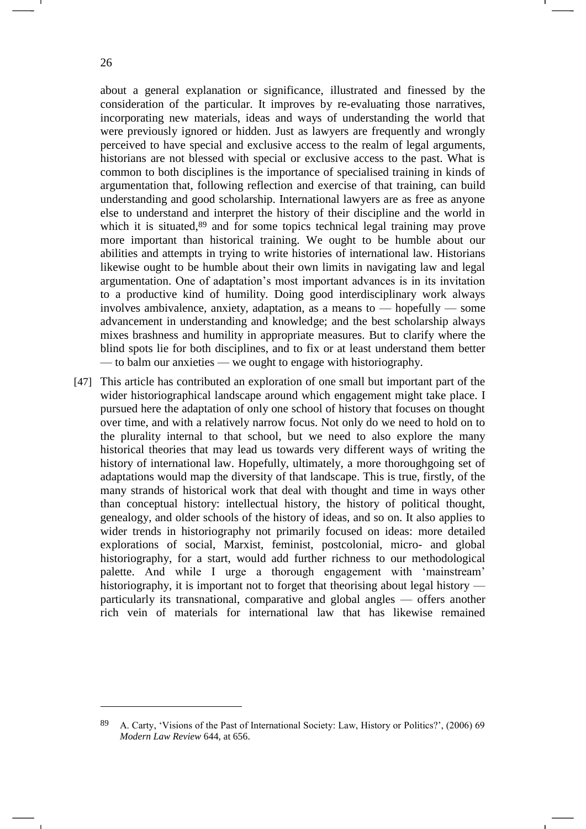about a general explanation or significance, illustrated and finessed by the consideration of the particular. It improves by re-evaluating those narratives, incorporating new materials, ideas and ways of understanding the world that were previously ignored or hidden. Just as lawyers are frequently and wrongly perceived to have special and exclusive access to the realm of legal arguments, historians are not blessed with special or exclusive access to the past. What is common to both disciplines is the importance of specialised training in kinds of argumentation that, following reflection and exercise of that training, can build understanding and good scholarship. International lawyers are as free as anyone else to understand and interpret the history of their discipline and the world in which it is situated, <sup>89</sup> and for some topics technical legal training may prove more important than historical training. We ought to be humble about our abilities and attempts in trying to write histories of international law. Historians likewise ought to be humble about their own limits in navigating law and legal argumentation. One of adaptation's most important advances is in its invitation to a productive kind of humility. Doing good interdisciplinary work always involves ambivalence, anxiety, adaptation, as a means to — hopefully — some advancement in understanding and knowledge; and the best scholarship always mixes brashness and humility in appropriate measures. But to clarify where the blind spots lie for both disciplines, and to fix or at least understand them better — to balm our anxieties — we ought to engage with historiography.

[47] This article has contributed an exploration of one small but important part of the wider historiographical landscape around which engagement might take place. I pursued here the adaptation of only one school of history that focuses on thought over time, and with a relatively narrow focus. Not only do we need to hold on to the plurality internal to that school, but we need to also explore the many historical theories that may lead us towards very different ways of writing the history of international law. Hopefully, ultimately, a more thoroughgoing set of adaptations would map the diversity of that landscape. This is true, firstly, of the many strands of historical work that deal with thought and time in ways other than conceptual history: intellectual history, the history of political thought, genealogy, and older schools of the history of ideas, and so on. It also applies to wider trends in historiography not primarily focused on ideas: more detailed explorations of social, Marxist, feminist, postcolonial, micro- and global historiography, for a start, would add further richness to our methodological palette. And while I urge a thorough engagement with 'mainstream' historiography, it is important not to forget that theorising about legal history particularly its transnational, comparative and global angles — offers another rich vein of materials for international law that has likewise remained

<sup>89</sup> A. Carty, 'Visions of the Past of International Society: Law, History or Politics?', (2006) 69 *Modern Law Review* 644, at 656.